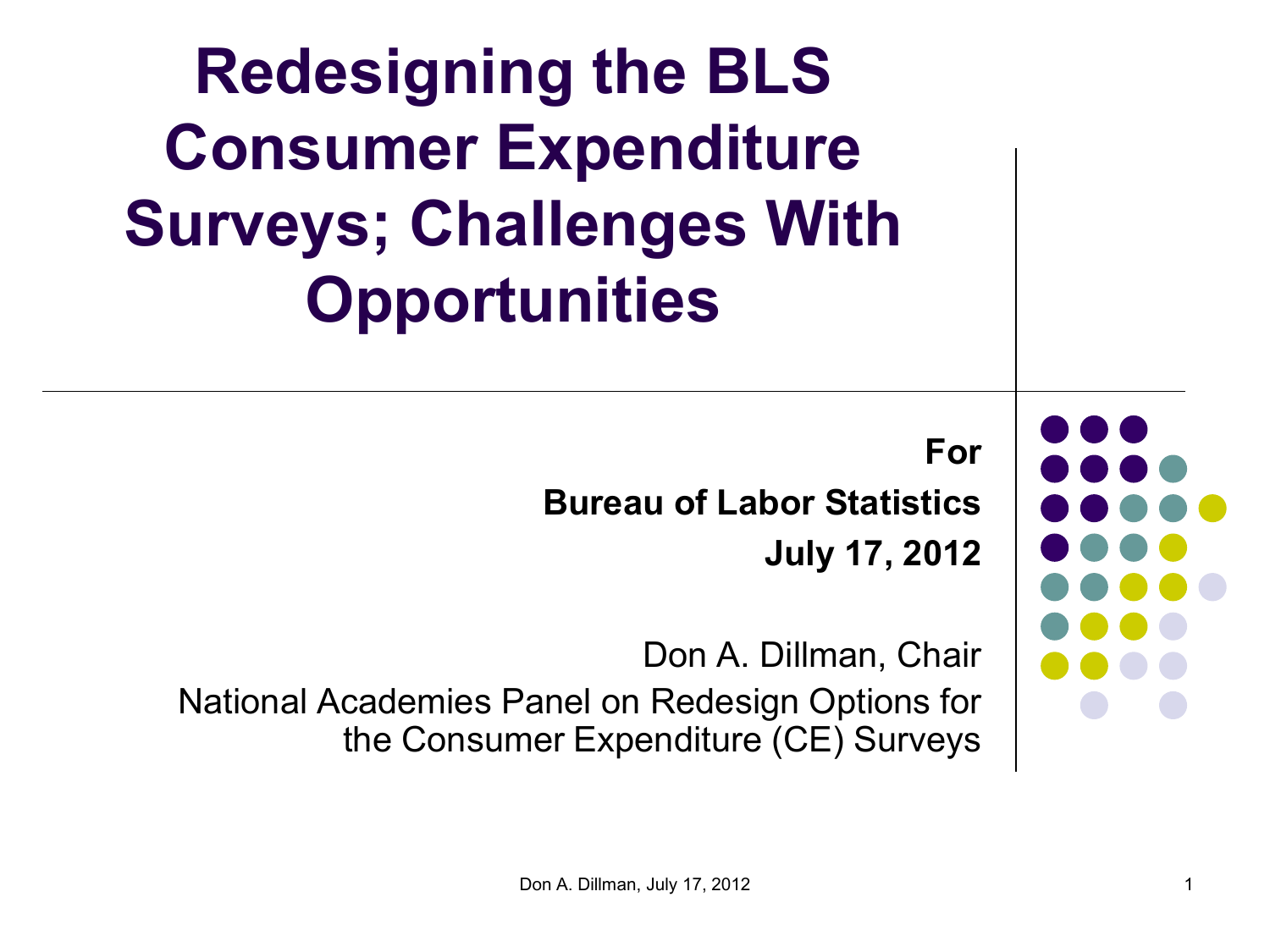| <b>Redesigning the BLS</b><br><b>Consumer Expenditure</b><br><b>Surveys; Challenges With</b><br><b>Opportunities</b> |  |
|----------------------------------------------------------------------------------------------------------------------|--|
| For<br><b>Bureau of Labor Statistics</b><br><b>July 17, 2012</b>                                                     |  |
| Don A. Dillman, Chair<br>National Academies Panel on Redesign Options for<br>the Consumer Expenditure (CE) Surveys   |  |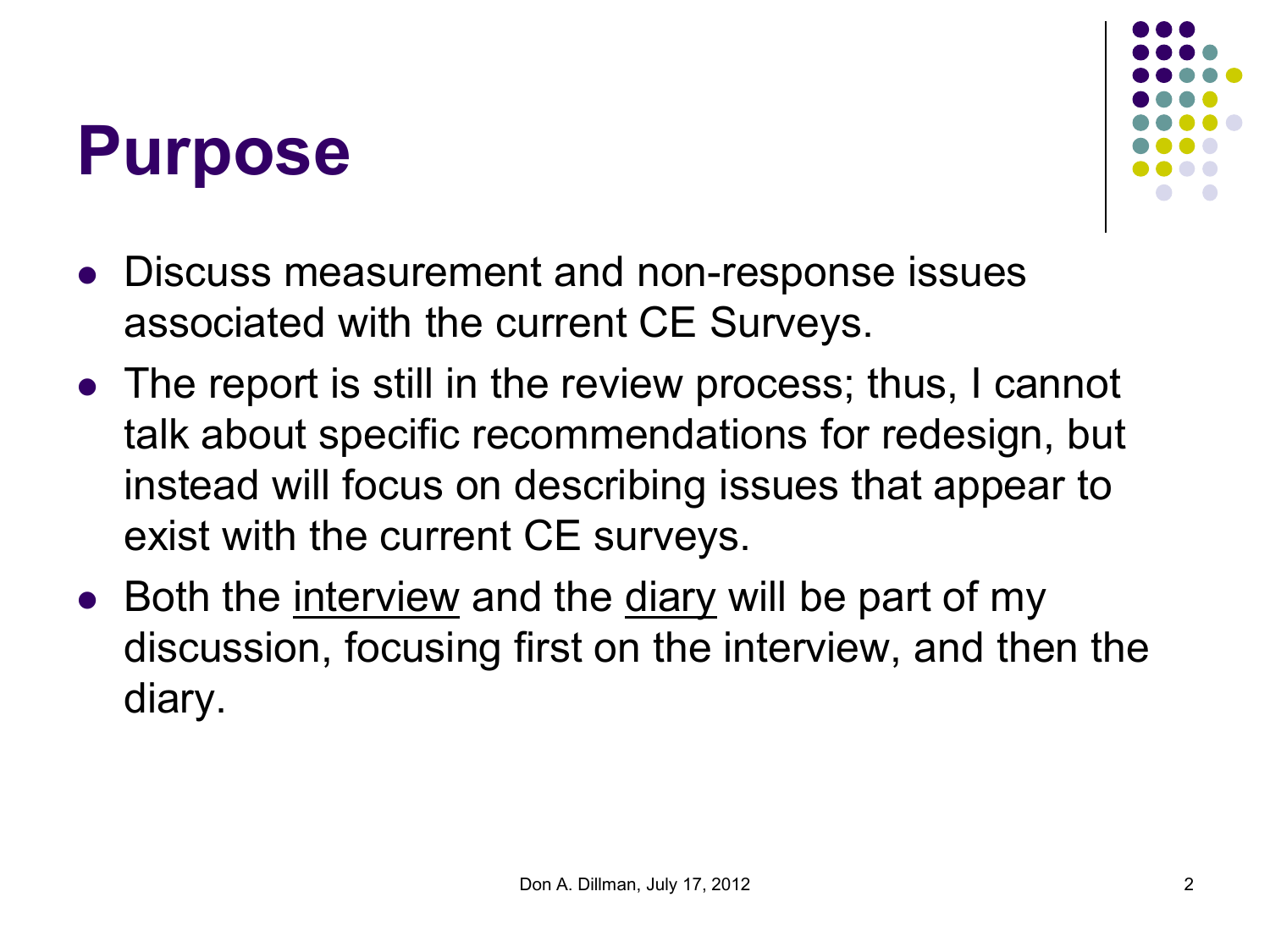#### **Purpose**



- Discuss measurement and non-response issues associated with the current CE Surveys.
- The report is still in the review process; thus, I cannot talk about specific recommendations for redesign, but instead will focus on describing issues that appear to exist with the current CE surveys.
- Both the interview and the diary will be part of my discussion, focusing first on the interview, and then the diary.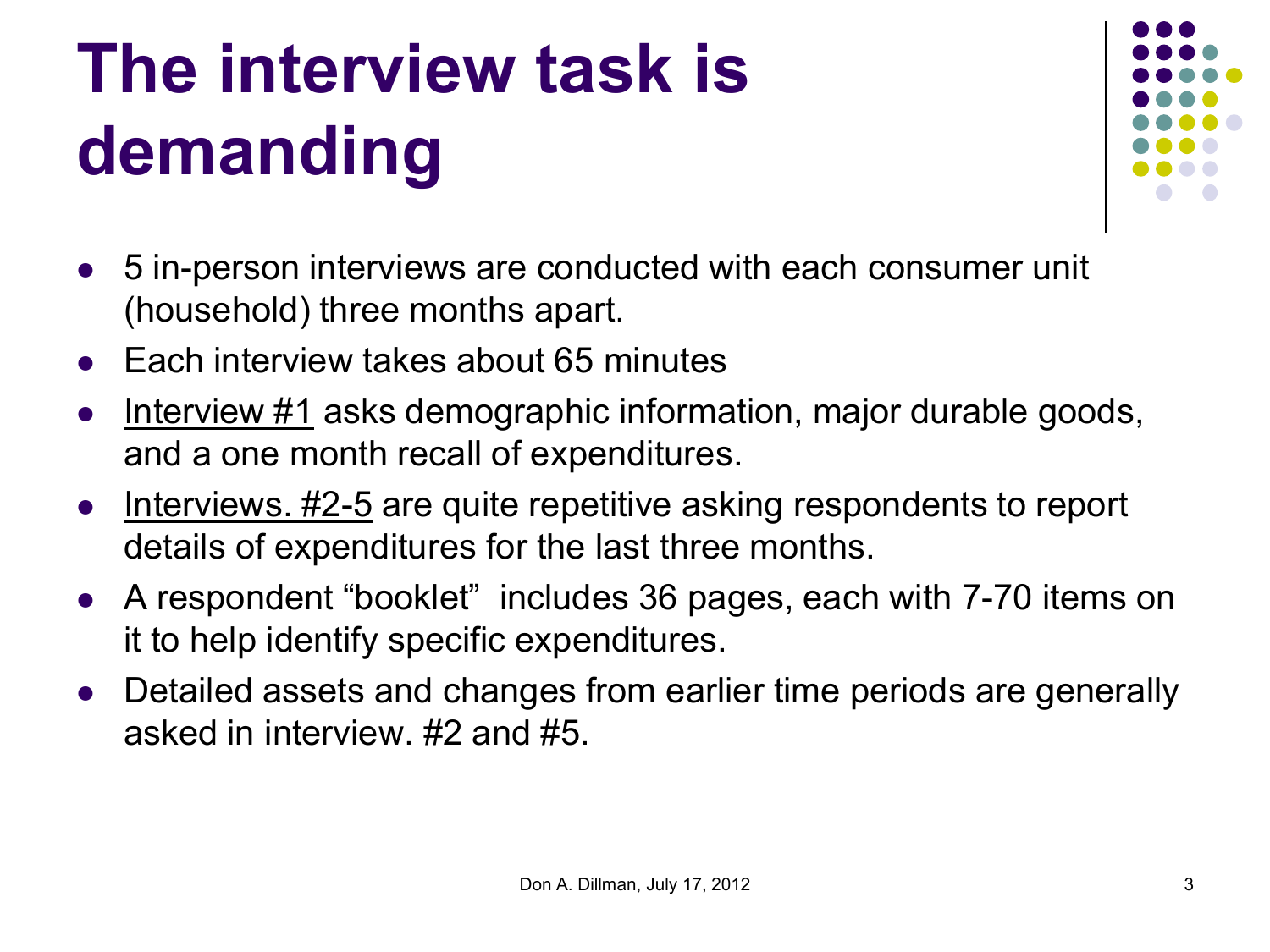## **The interview task is demanding**



- 5 in-person interviews are conducted with each consumer unit (household) three months apart.
- Each interview takes about 65 minutes
- Interview #1 asks demographic information, major durable goods, and a one month recall of expenditures.
- Interviews. #2-5 are quite repetitive asking respondents to report details of expenditures for the last three months.
- A respondent "booklet" includes 36 pages, each with 7-70 items on it to help identify specific expenditures.
- Detailed assets and changes from earlier time periods are generally asked in interview. #2 and #5.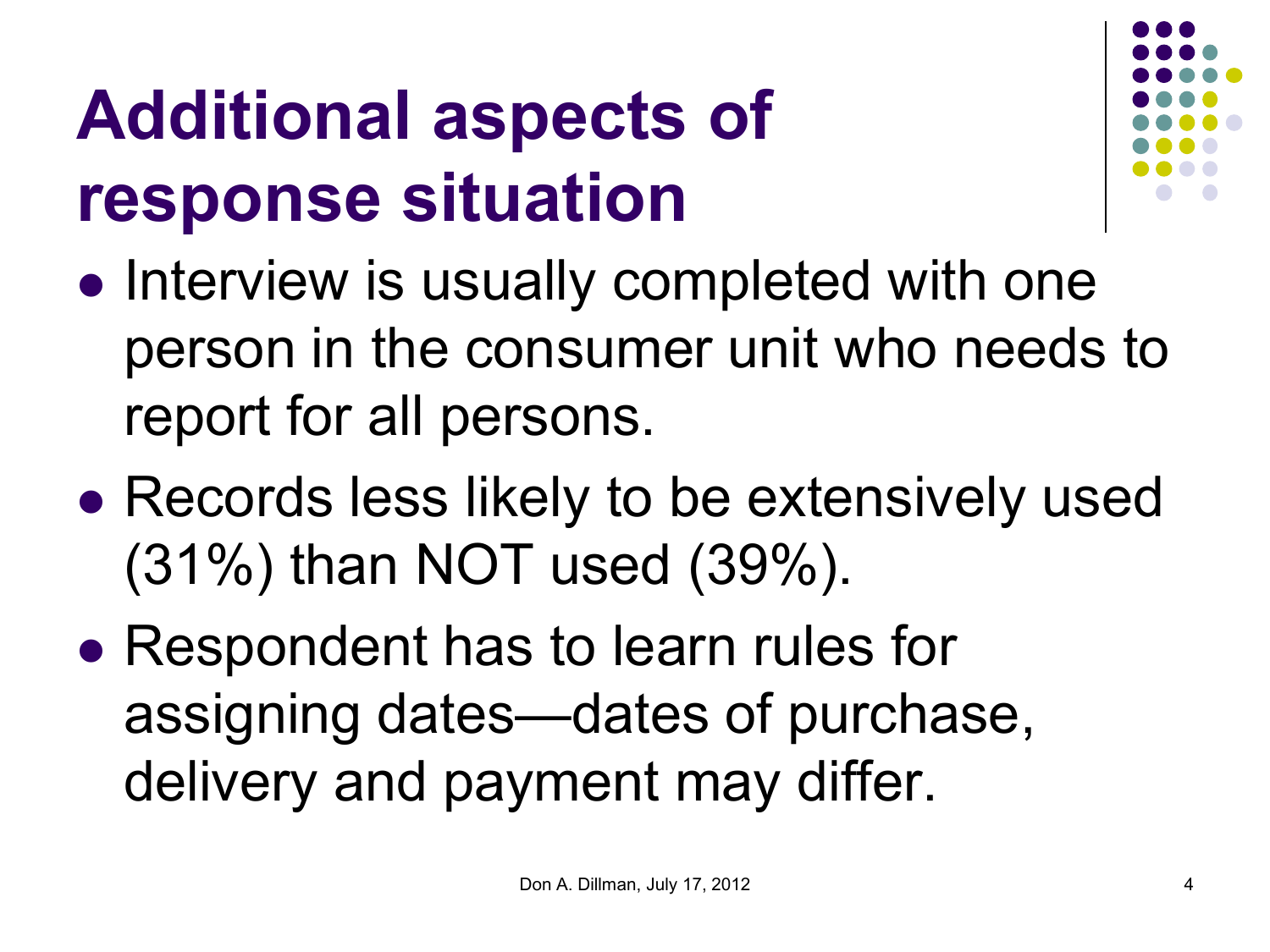#### **Additional aspects of response situation**



- Interview is usually completed with one person in the consumer unit who needs to report for all persons.
- Records less likely to be extensively used (31%) than NOT used (39%).
- Respondent has to learn rules for assigning dates—dates of purchase, delivery and payment may differ.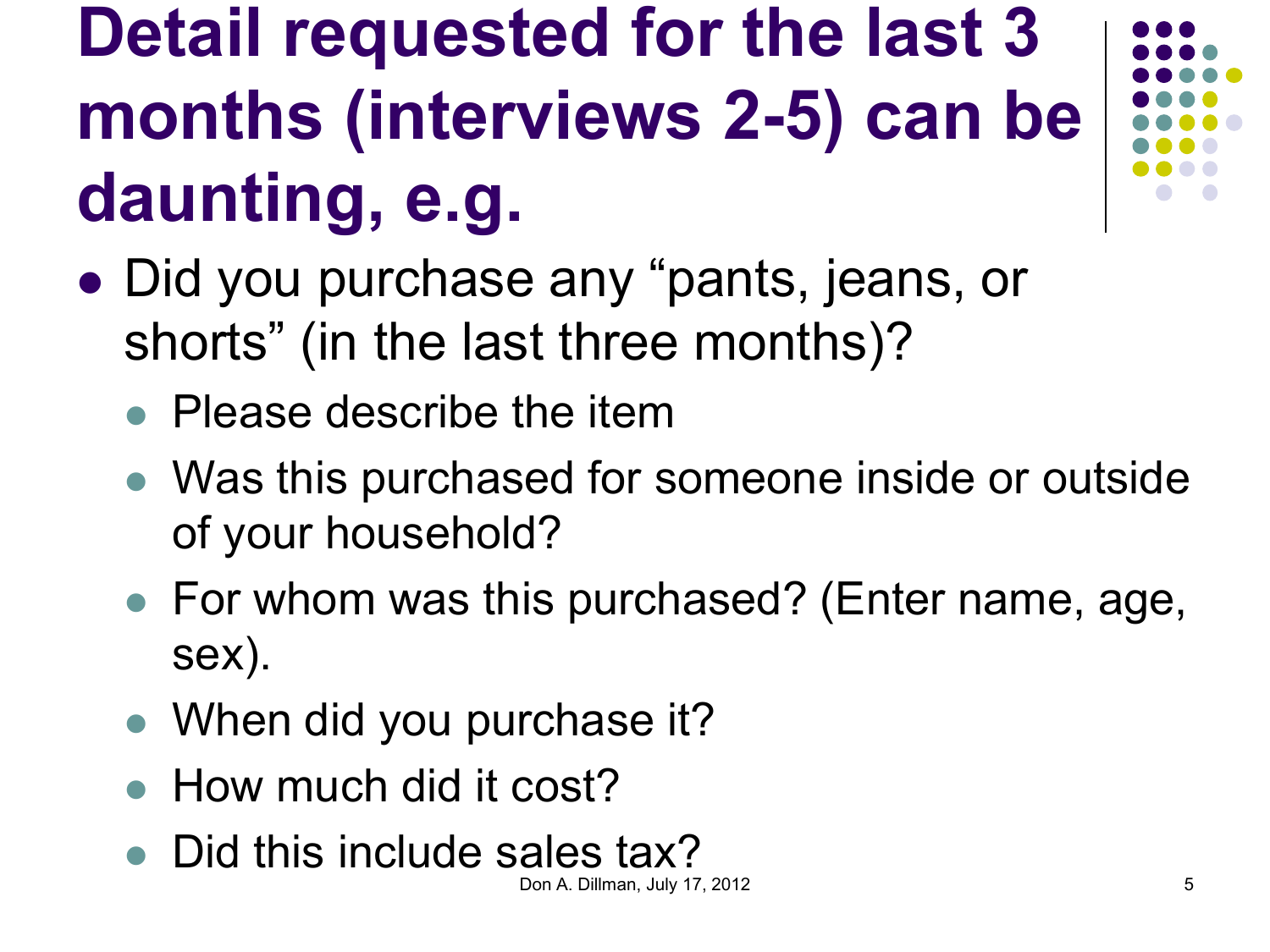#### **Detail requested for the last 3 months (interviews 2-5) can be daunting, e.g.**

- Did you purchase any "pants, jeans, or shorts" (in the last three months)?
	- Please describe the item
	- Was this purchased for someone inside or outside of your household?
	- For whom was this purchased? (Enter name, age, sex).
	- When did you purchase it?
	- How much did it cost?
	- Did this include sales tax?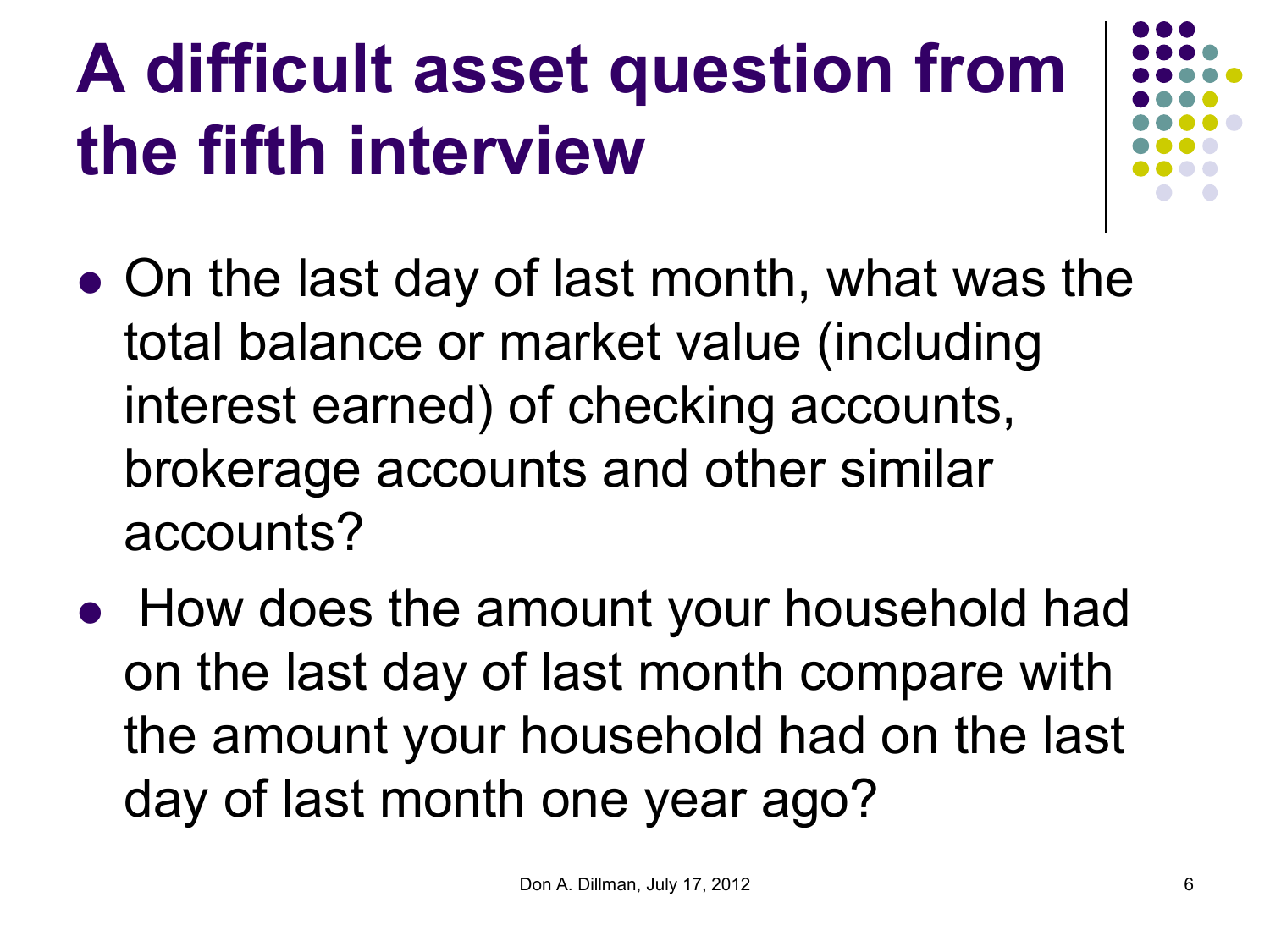## **A difficult asset question from the fifth interview**

- On the last day of last month, what was the total balance or market value (including interest earned) of checking accounts, brokerage accounts and other similar accounts?
- How does the amount your household had on the last day of last month compare with the amount your household had on the last day of last month one year ago?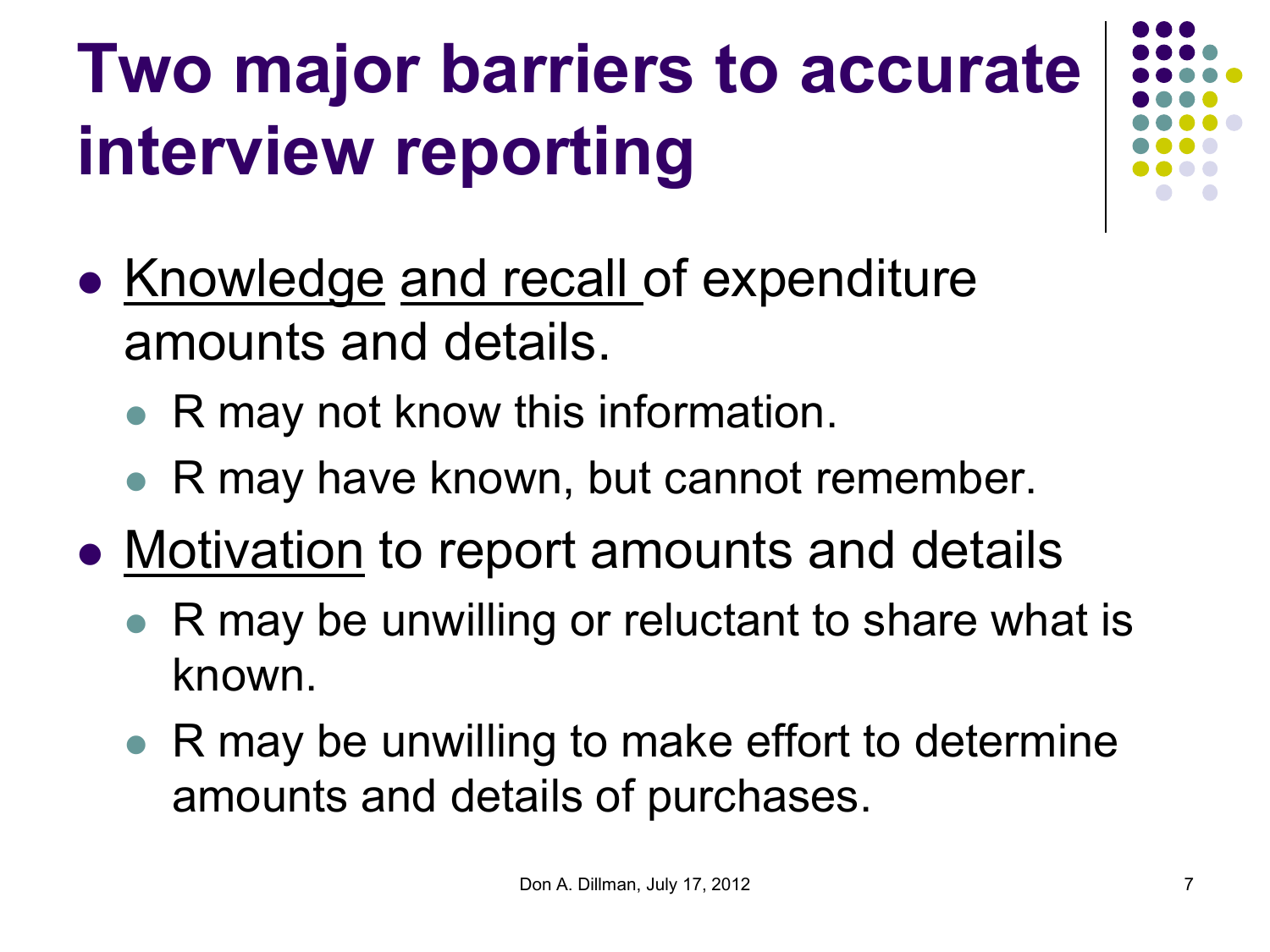## **Two major barriers to accurate interview reporting**

- Knowledge and recall of expenditure amounts and details.
	- R may not know this information.
	- R may have known, but cannot remember.
- Motivation to report amounts and details
	- R may be unwilling or reluctant to share what is known.
	- R may be unwilling to make effort to determine amounts and details of purchases.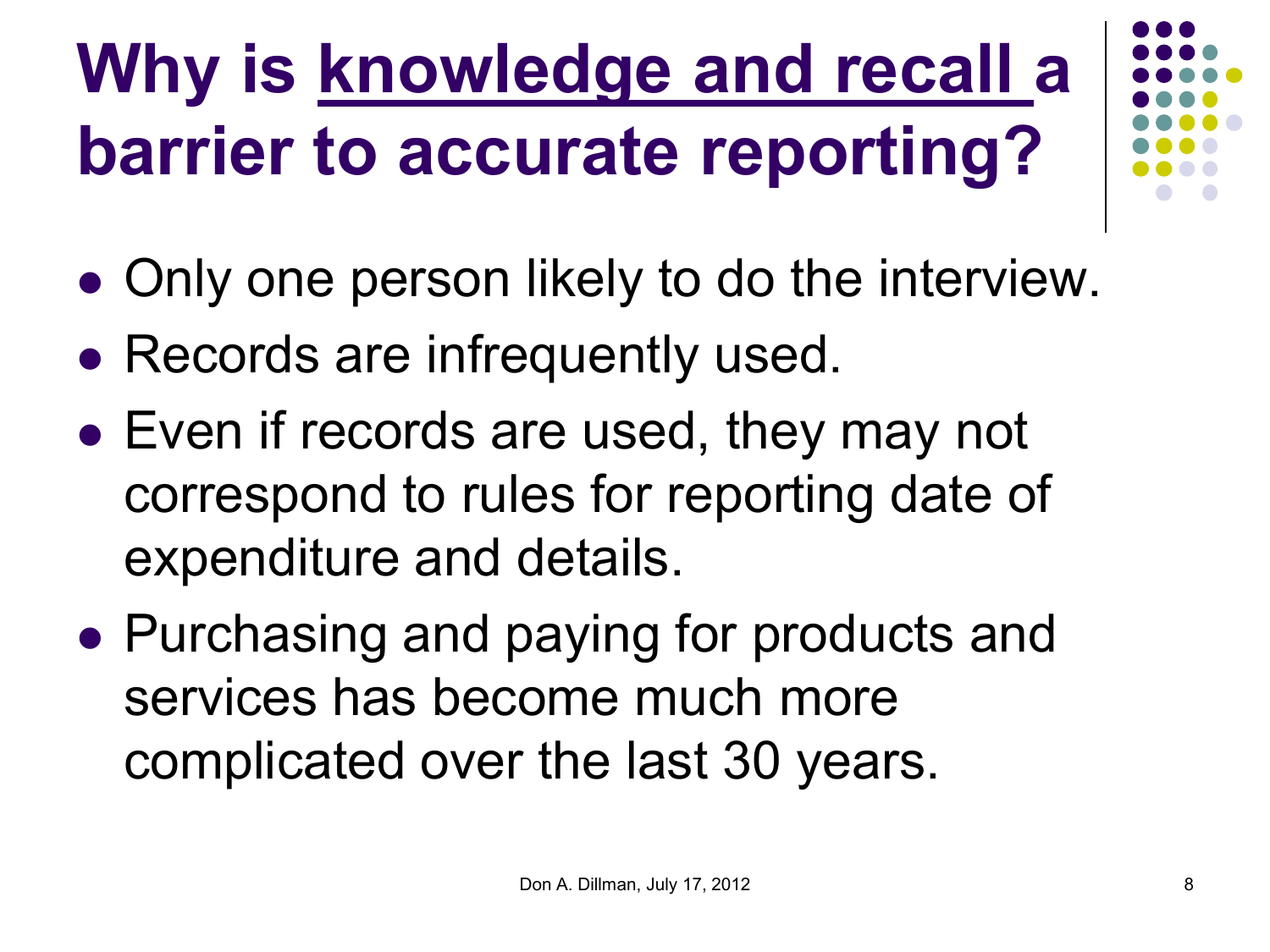## **Why is knowledge and recall a barrier to accurate reporting?**

- Only one person likely to do the interview.
- Records are infrequently used.
- Even if records are used, they may not correspond to rules for reporting date of expenditure and details.
- Purchasing and paying for products and services has become much more complicated over the last 30 years.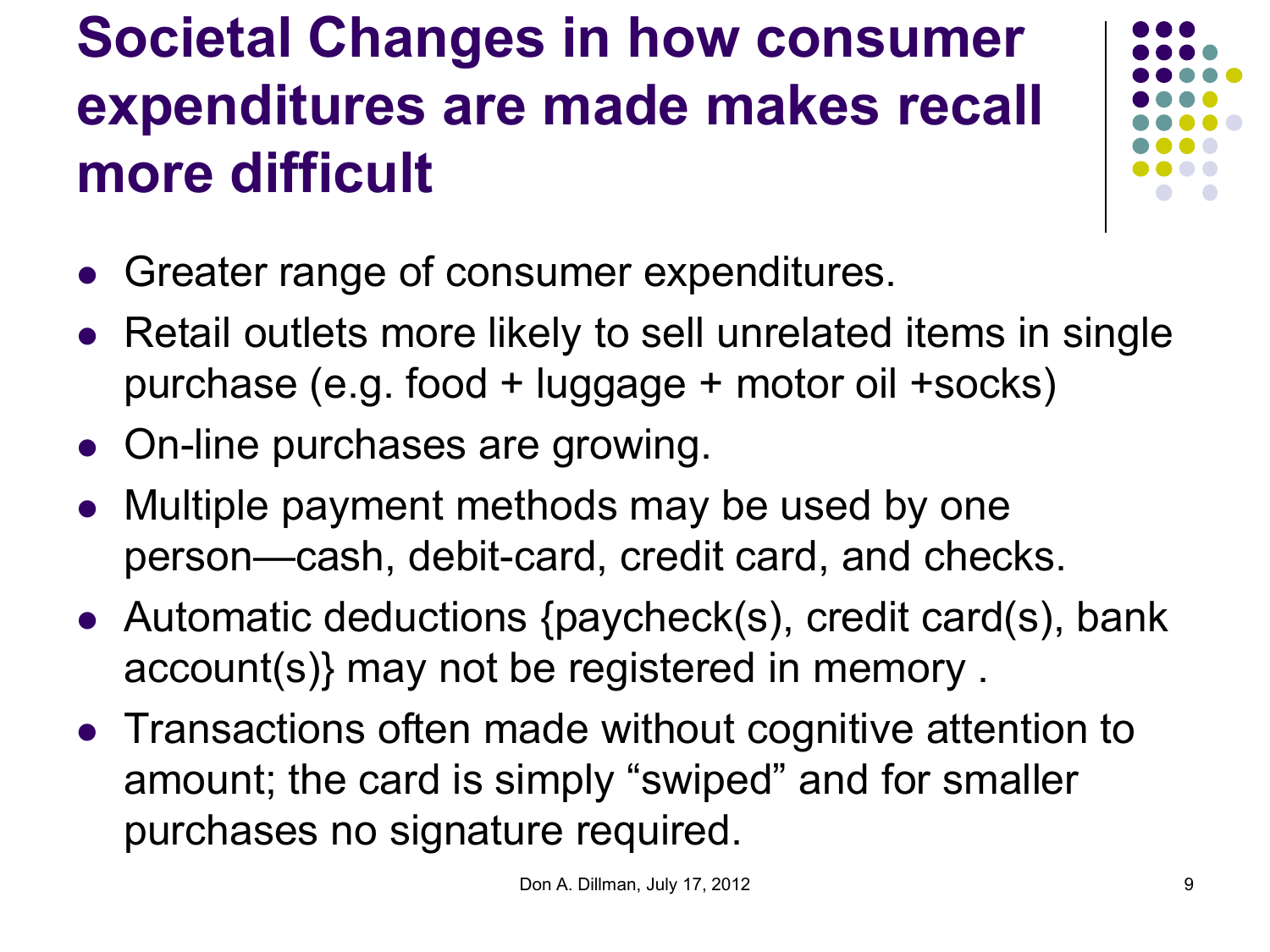#### **Societal Changes in how consumer expenditures are made makes recall more difficult**



- Greater range of consumer expenditures.
- Retail outlets more likely to sell unrelated items in single purchase (e.g. food + luggage + motor oil +socks)
- On-line purchases are growing.
- Multiple payment methods may be used by one person—cash, debit-card, credit card, and checks.
- Automatic deductions {paycheck(s), credit card(s), bank account(s)} may not be registered in memory .
- Transactions often made without cognitive attention to amount; the card is simply "swiped" and for smaller purchases no signature required.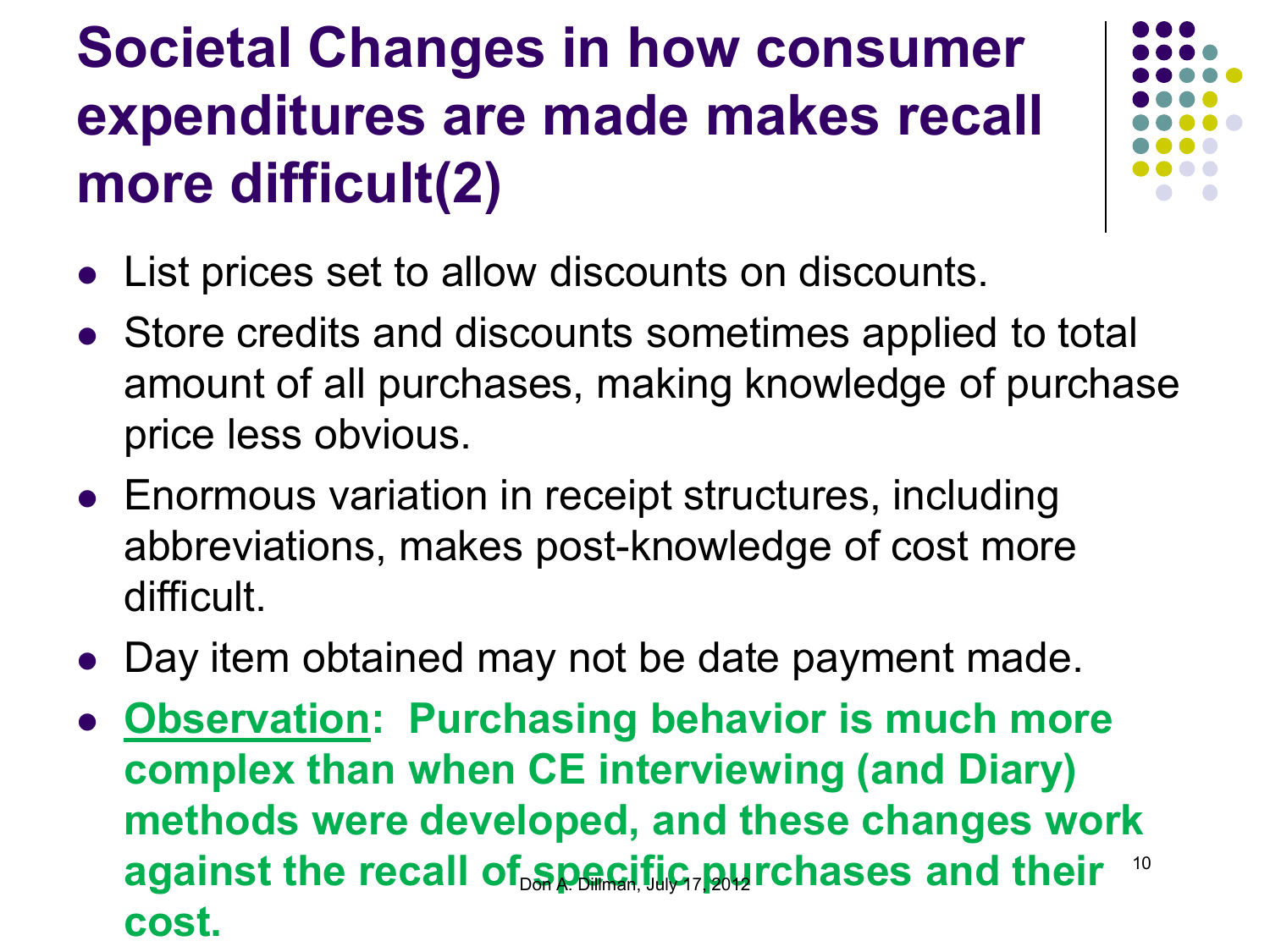#### **Societal Changes in how consumer expenditures are made makes recall more difficult(2)**



- List prices set to allow discounts on discounts.
- Store credits and discounts sometimes applied to total amount of all purchases, making knowledge of purchase price less obvious.
- Enormous variation in receipt structures, including abbreviations, makes post-knowledge of cost more difficult.
- Day item obtained may not be date payment made.
- **Observation: Purchasing behavior is much more complex than when CE interviewing (and Diary) methods were developed, and these changes work**  against the recall of <u>specific, pu</u>rchases and their **cost.**  10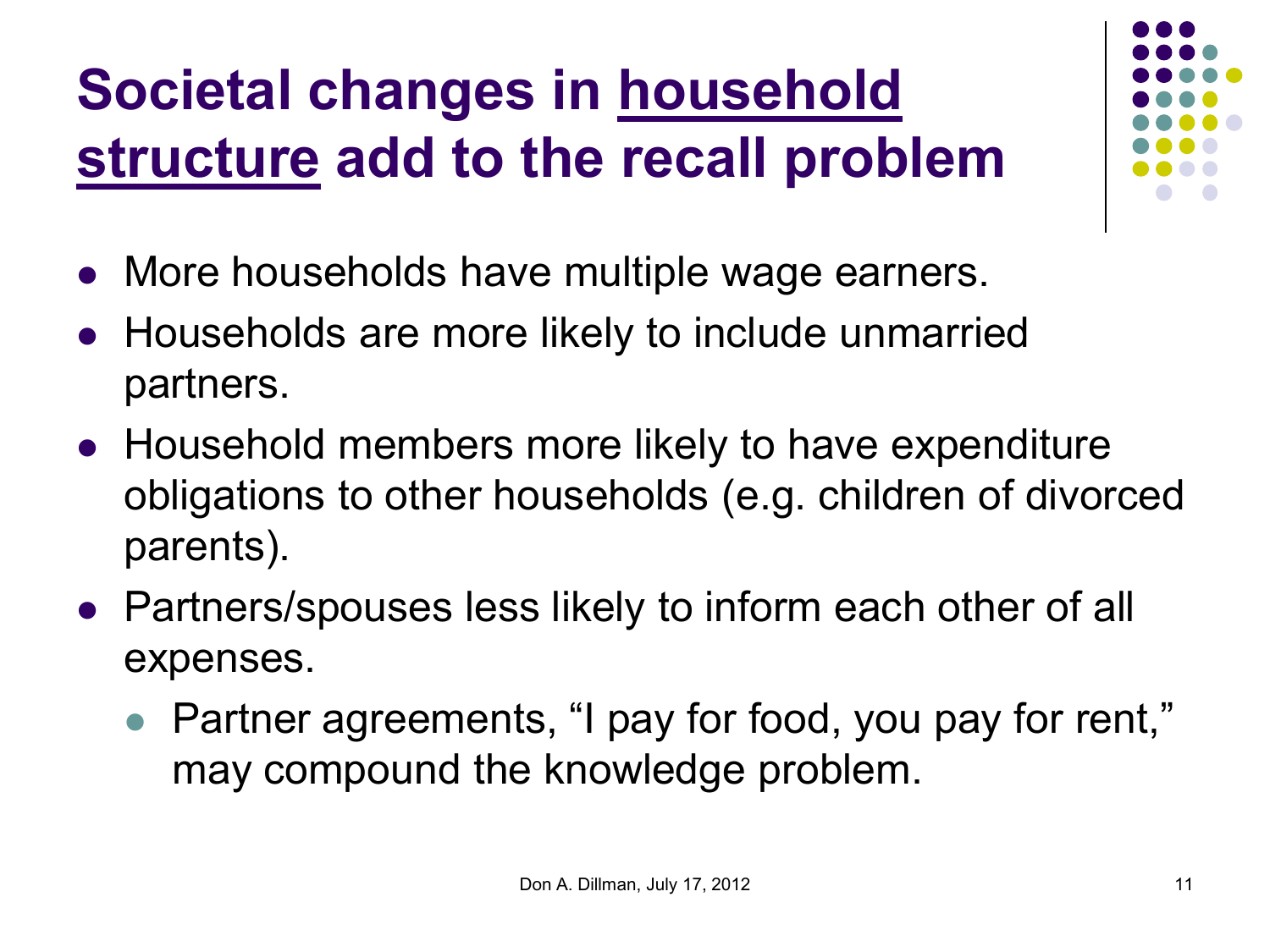#### **Societal changes in household structure add to the recall problem**

- More households have multiple wage earners.
- Households are more likely to include unmarried partners.
- Household members more likely to have expenditure obligations to other households (e.g. children of divorced parents).
- Partners/spouses less likely to inform each other of all expenses.
	- Partner agreements, "I pay for food, you pay for rent," may compound the knowledge problem.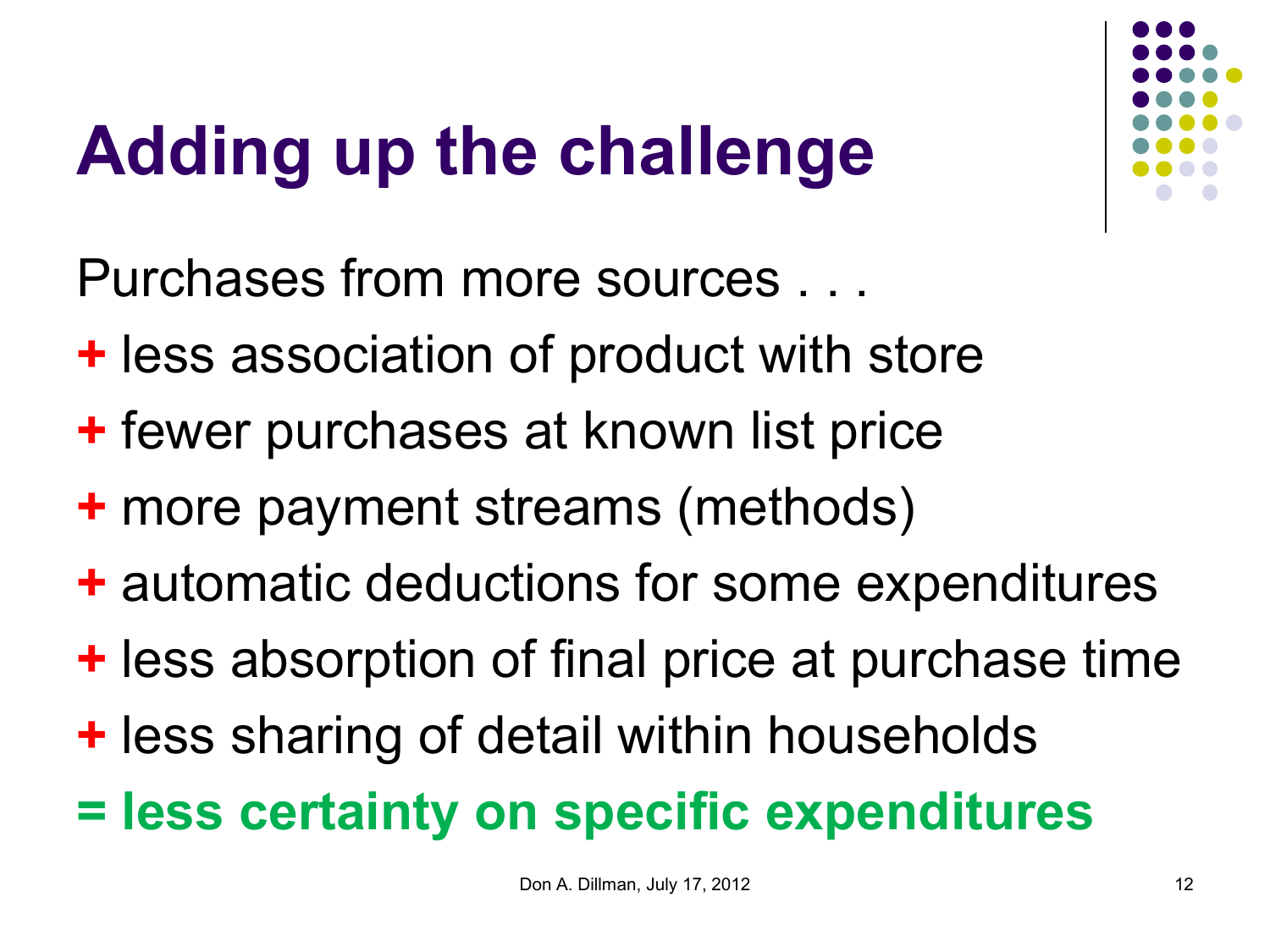## **Adding up the challenge**

Purchases from more sources . . .

- **+** less association of product with store
- **+** fewer purchases at known list price
- **+** more payment streams (methods)
- **+** automatic deductions for some expenditures
- **+** less absorption of final price at purchase time
- **+** less sharing of detail within households
- **= less certainty on specific expenditures**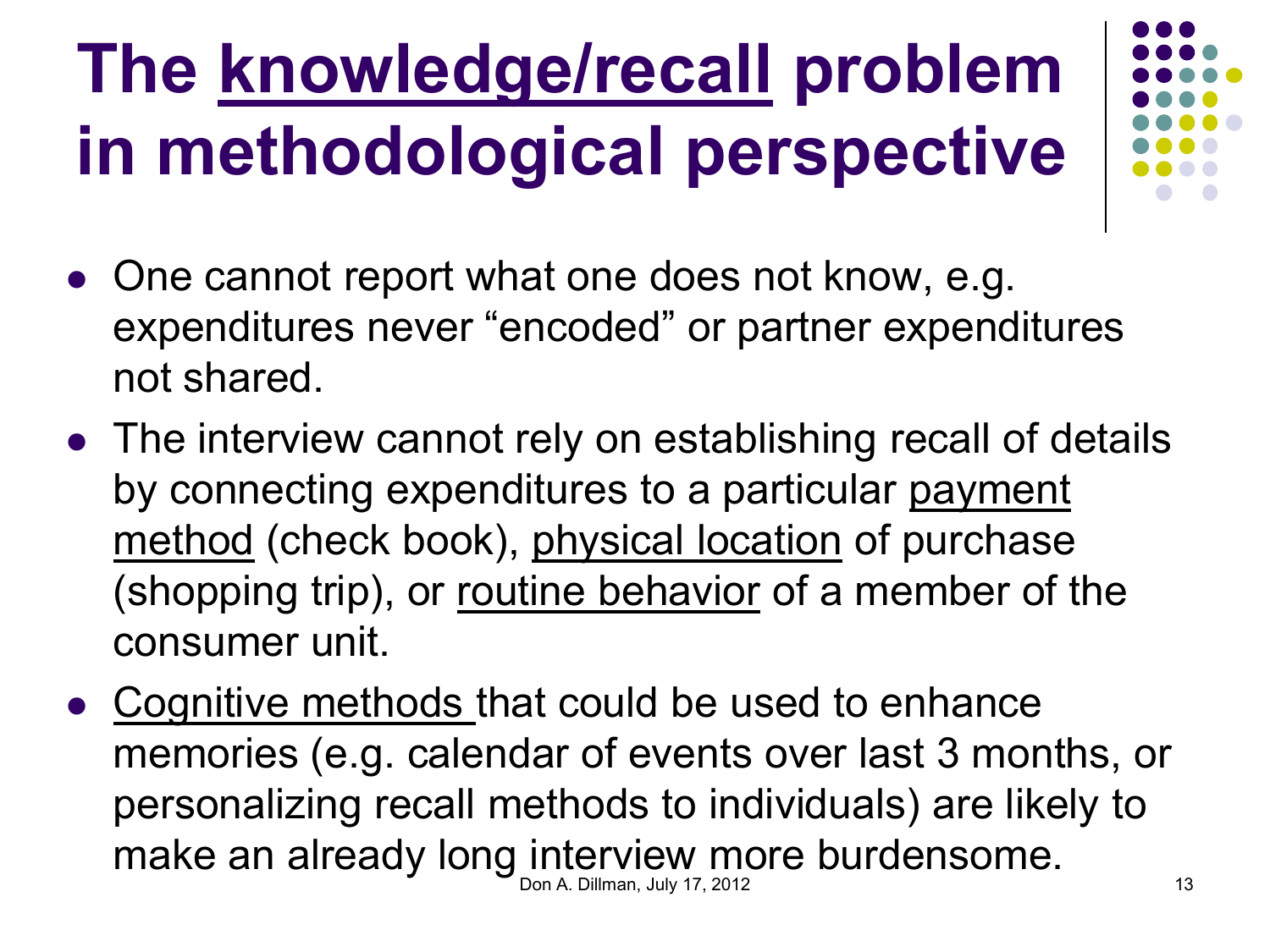## **The knowledge/recall problem in methodological perspective**

- 
- One cannot report what one does not know, e.g. expenditures never "encoded" or partner expenditures not shared.
- The interview cannot rely on establishing recall of details by connecting expenditures to a particular payment method (check book), physical location of purchase (shopping trip), or routine behavior of a member of the consumer unit.
- Cognitive methods that could be used to enhance memories (e.g. calendar of events over last 3 months, or personalizing recall methods to individuals) are likely to make an already long interview more burdensome. Don A. Dillman, July 17, 2012 13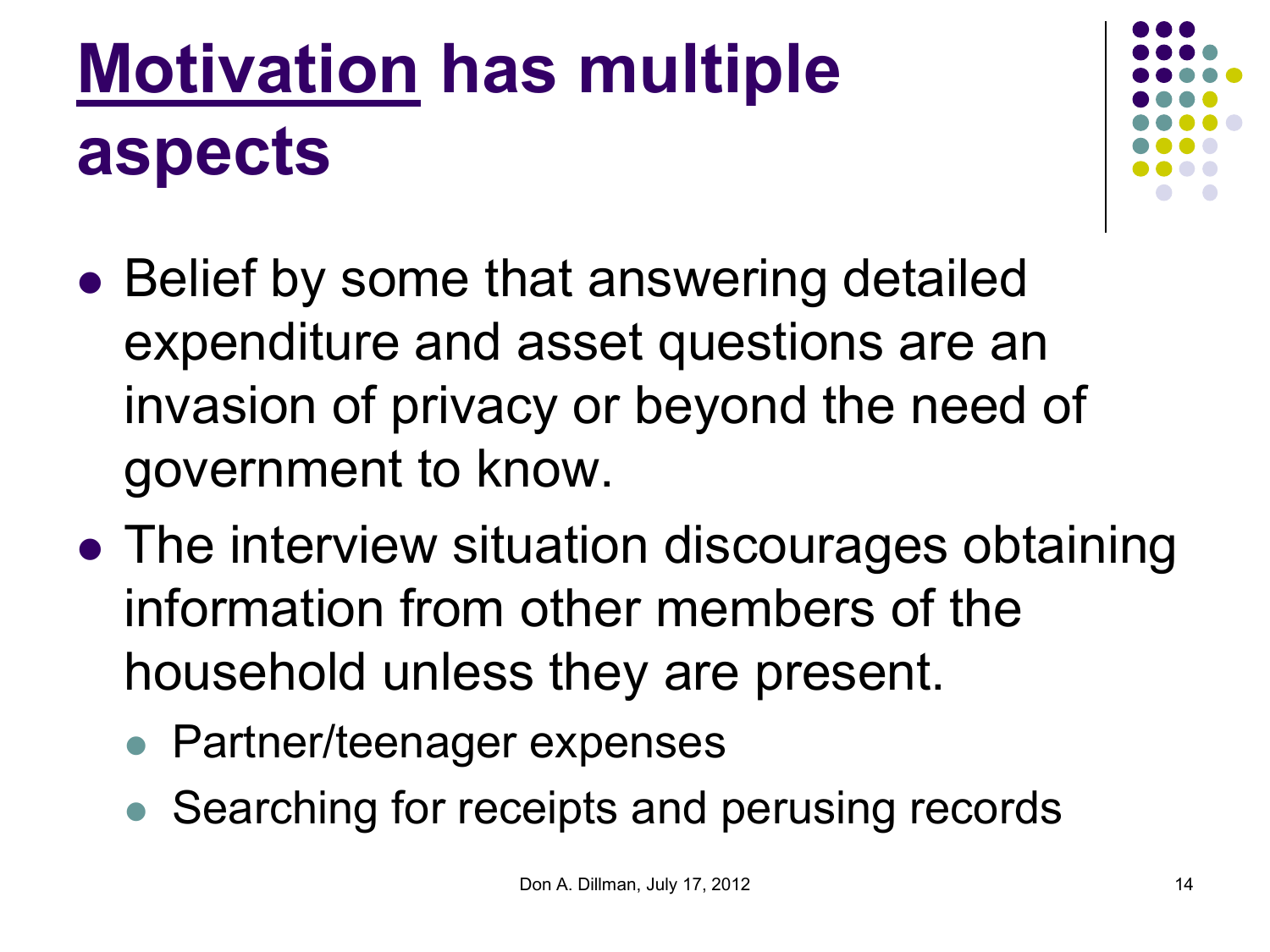## **Motivation has multiple aspects**



- Belief by some that answering detailed expenditure and asset questions are an invasion of privacy or beyond the need of government to know.
- The interview situation discourages obtaining information from other members of the household unless they are present.
	- Partner/teenager expenses
	- Searching for receipts and perusing records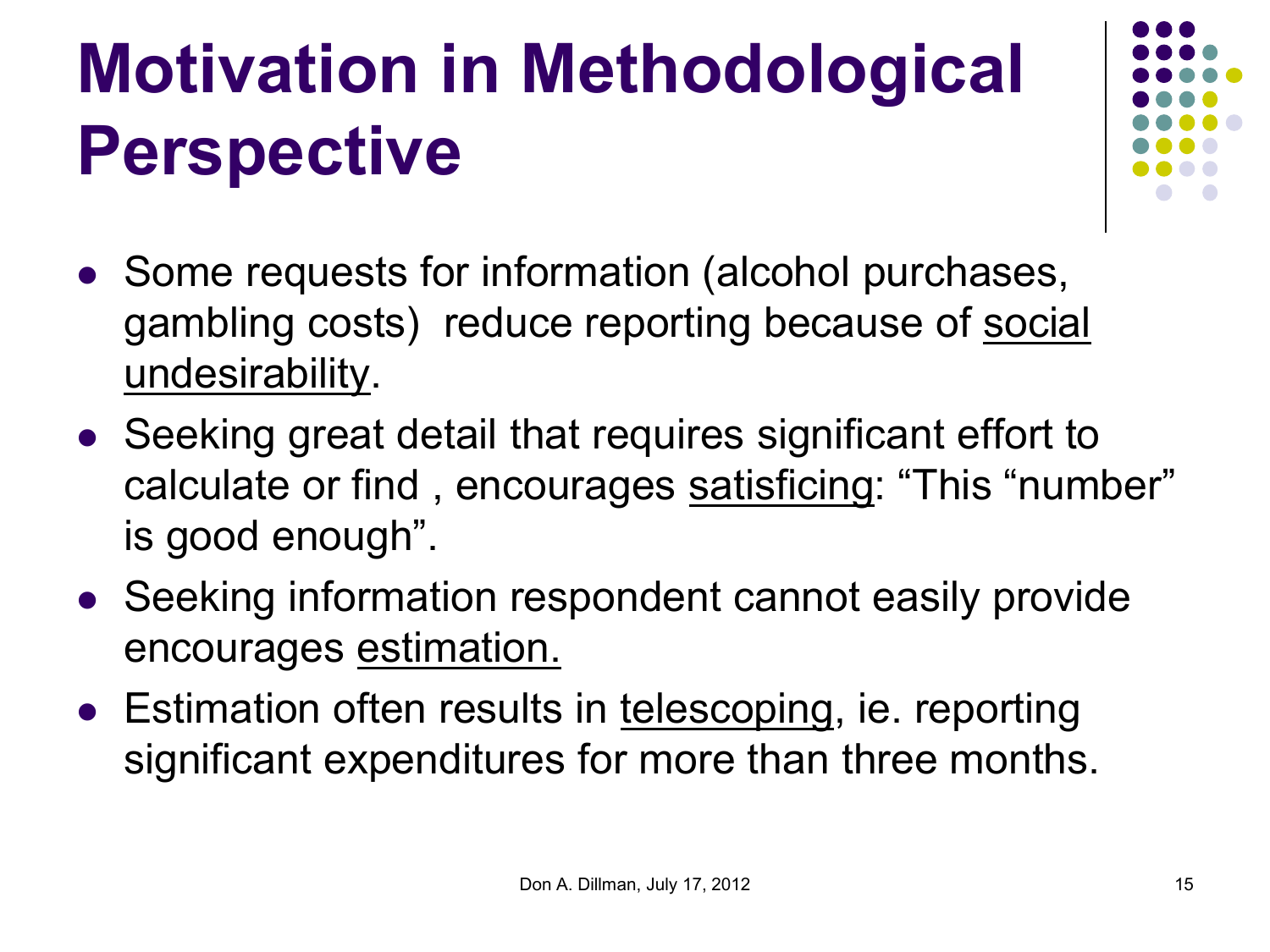## **Motivation in Methodological Perspective**

- Some requests for information (alcohol purchases, gambling costs) reduce reporting because of social undesirability.
- Seeking great detail that requires significant effort to calculate or find , encourages satisficing: "This "number" is good enough".
- Seeking information respondent cannot easily provide encourages estimation.
- Estimation often results in telescoping, ie. reporting significant expenditures for more than three months.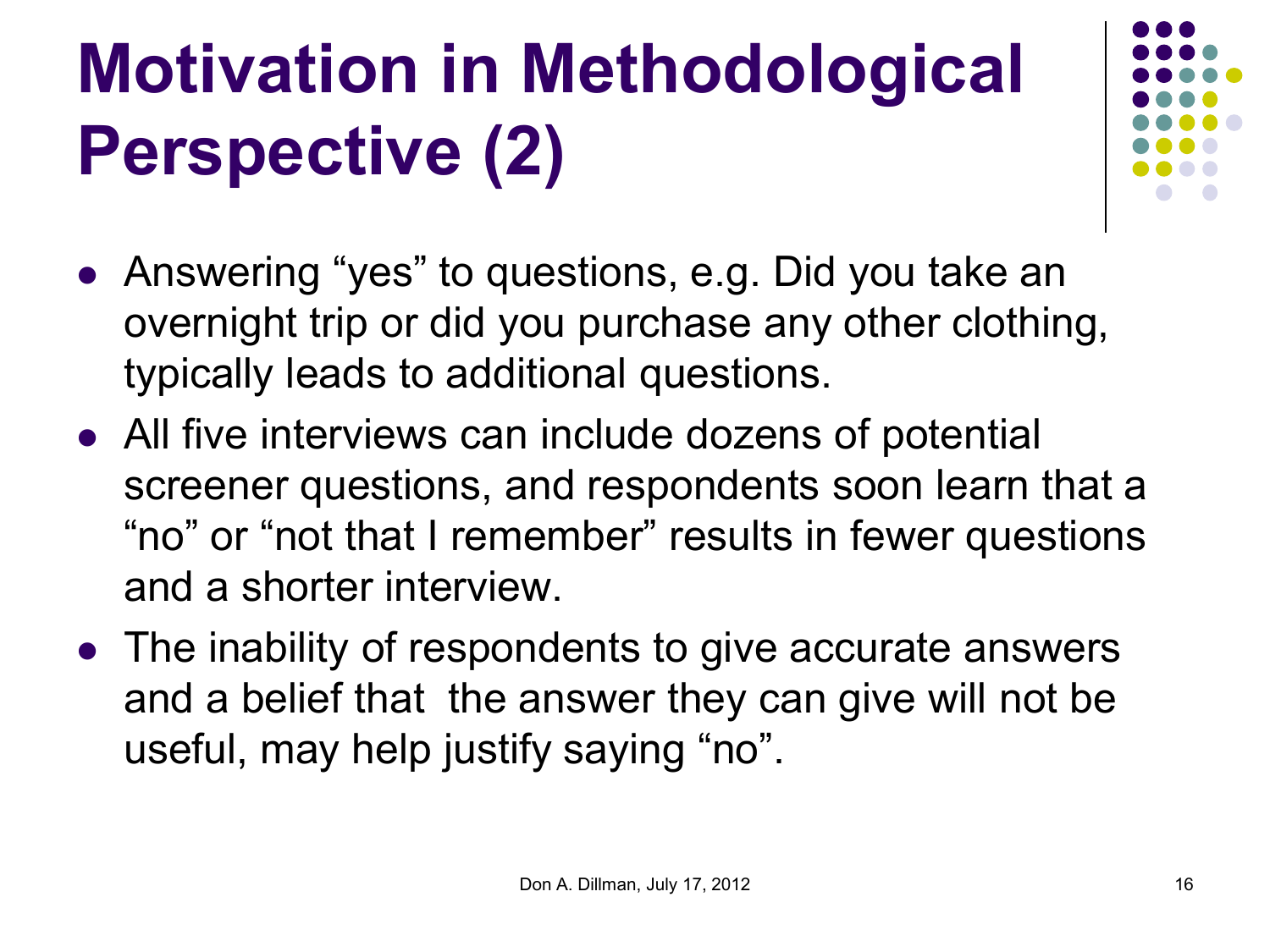# **Motivation in Methodological Perspective (2)**

- Answering "yes" to questions, e.g. Did you take an overnight trip or did you purchase any other clothing, typically leads to additional questions.
- All five interviews can include dozens of potential screener questions, and respondents soon learn that a "no" or "not that I remember" results in fewer questions and a shorter interview.
- The inability of respondents to give accurate answers and a belief that the answer they can give will not be useful, may help justify saying "no".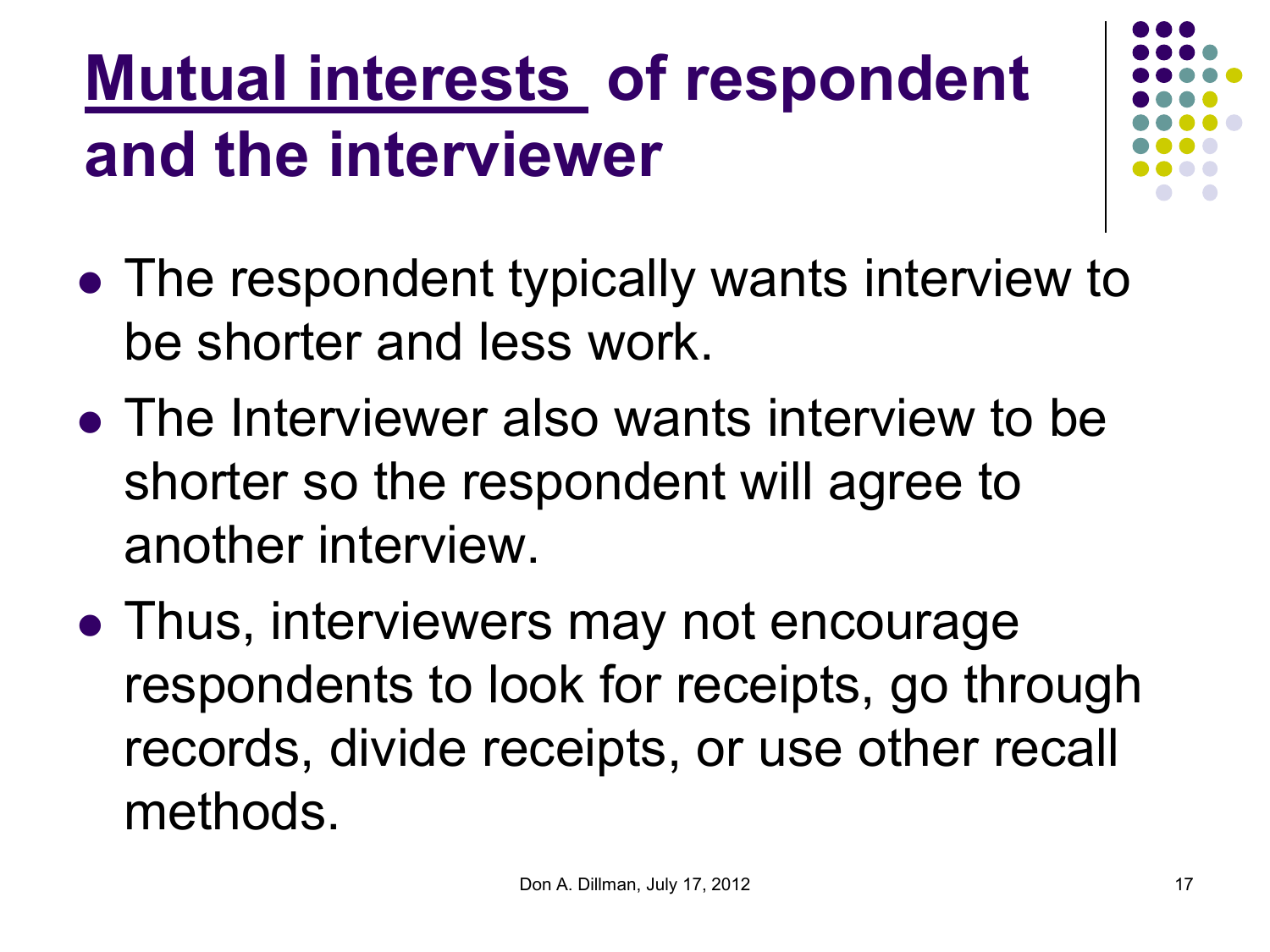#### **Mutual interests of respondent and the interviewer**

- 
- The respondent typically wants interview to be shorter and less work.
- The Interviewer also wants interview to be shorter so the respondent will agree to another interview.
- Thus, interviewers may not encourage respondents to look for receipts, go through records, divide receipts, or use other recall methods.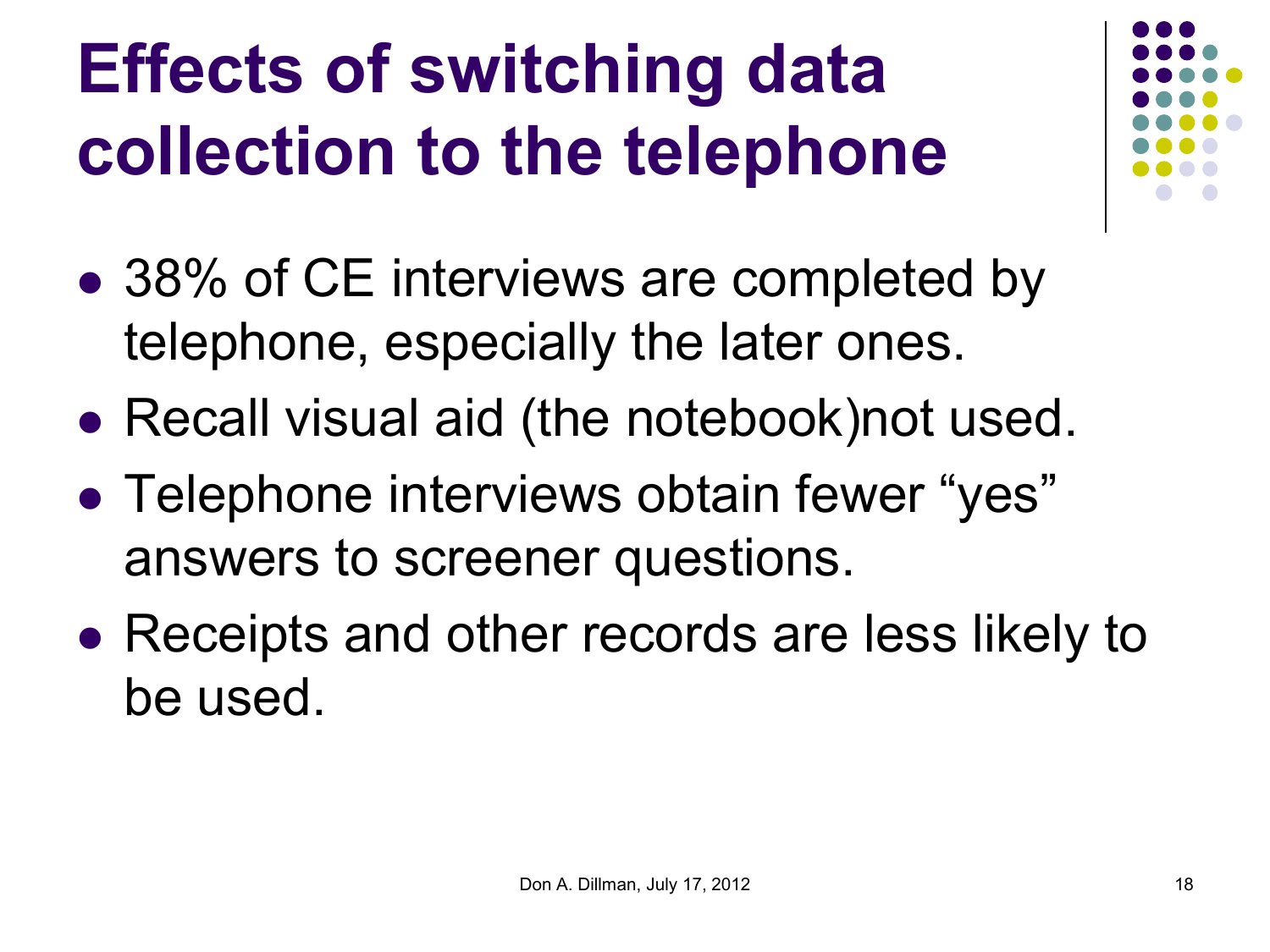## **Effects of switching data collection to the telephone**

- 
- 38% of CE interviews are completed by telephone, especially the later ones.
- Recall visual aid (the notebook) not used.
- Telephone interviews obtain fewer "yes" answers to screener questions.
- Receipts and other records are less likely to be used.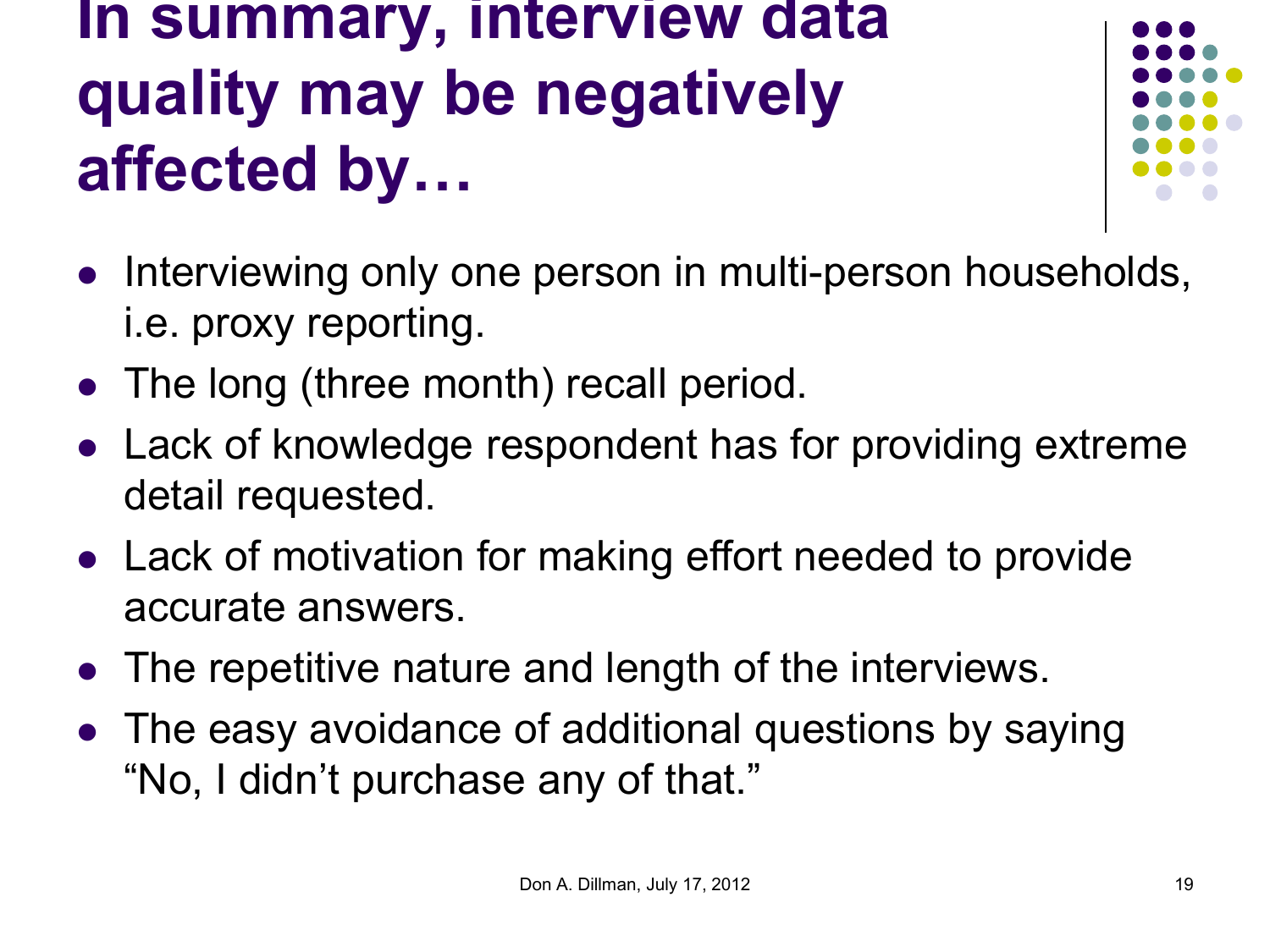#### **In summary, interview data quality may be negatively affected by…**



- Interviewing only one person in multi-person households, i.e. proxy reporting.
- The long (three month) recall period.
- Lack of knowledge respondent has for providing extreme detail requested.
- Lack of motivation for making effort needed to provide accurate answers.
- The repetitive nature and length of the interviews.
- The easy avoidance of additional questions by saying "No, I didn't purchase any of that."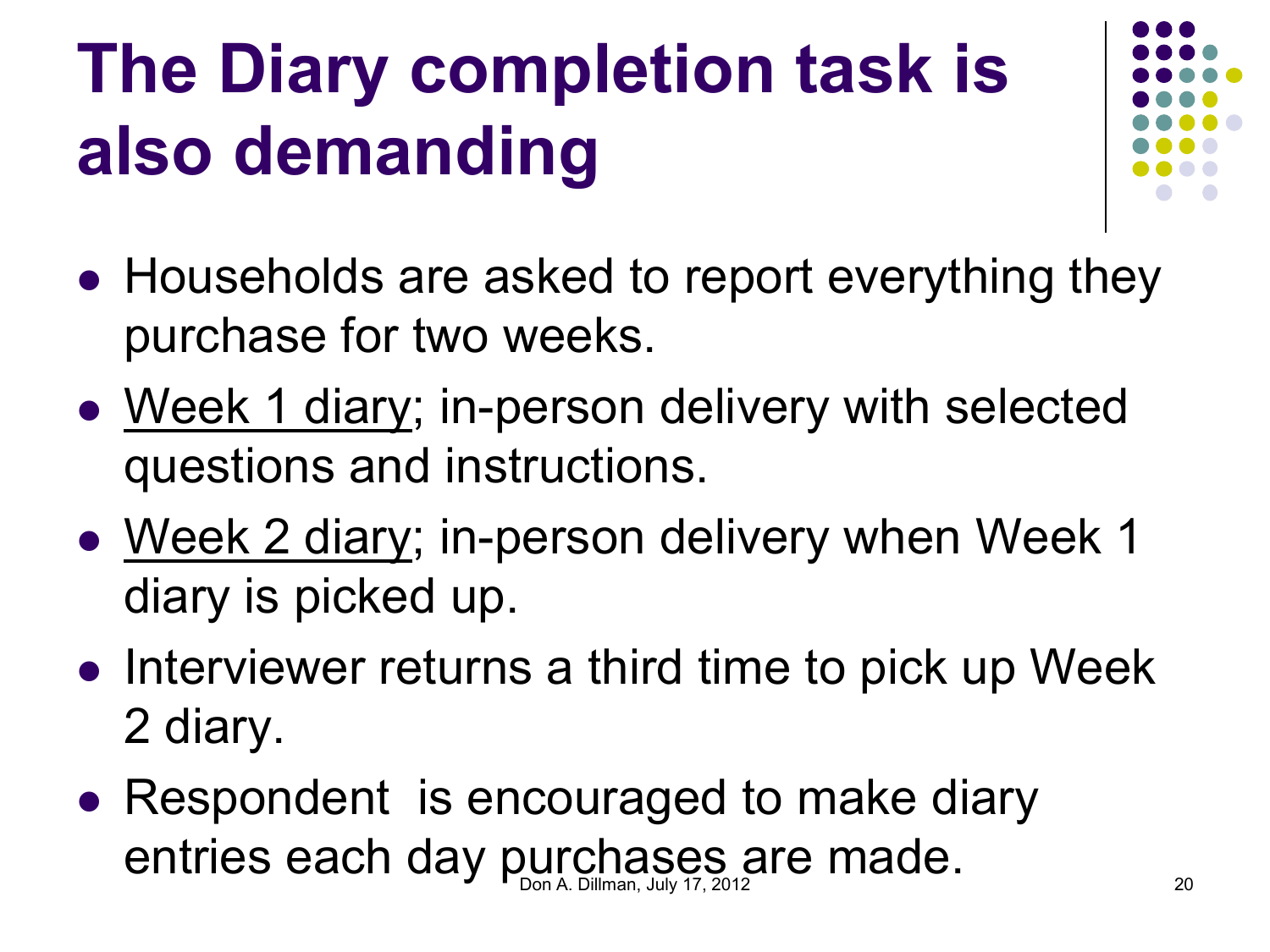## **The Diary completion task is also demanding**



- Households are asked to report everything they purchase for two weeks.
- Week 1 diary; in-person delivery with selected questions and instructions.
- Week 2 diary; in-person delivery when Week 1 diary is picked up.
- Interviewer returns a third time to pick up Week 2 diary.
- Respondent is encouraged to make diary entries each day purchases are made. 20 AM and the contribution of the point of  $\epsilon_{\text{non}}$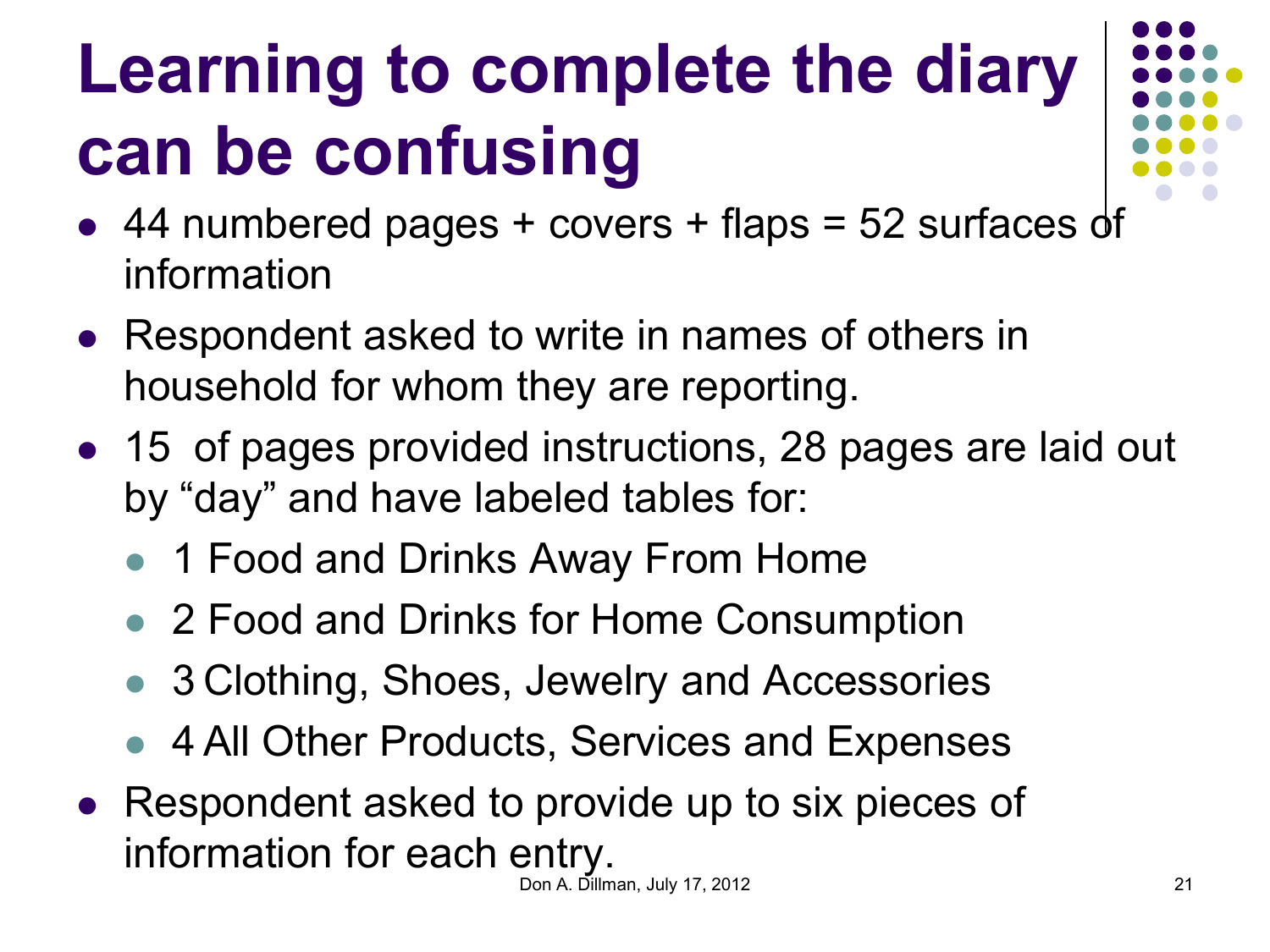## **Learning to complete the diary can be confusing**

- $\bullet$  44 numbered pages + covers + flaps = 52 surfaces of information
- Respondent asked to write in names of others in household for whom they are reporting.
- 15 of pages provided instructions, 28 pages are laid out by "day" and have labeled tables for:
	- 1 Food and Drinks Away From Home
	- 2 Food and Drinks for Home Consumption
	- 3 Clothing, Shoes, Jewelry and Accessories
	- 4 All Other Products, Services and Expenses
- Respondent asked to provide up to six pieces of information for each entry.

Don A. Dillman, July 17, 2012 21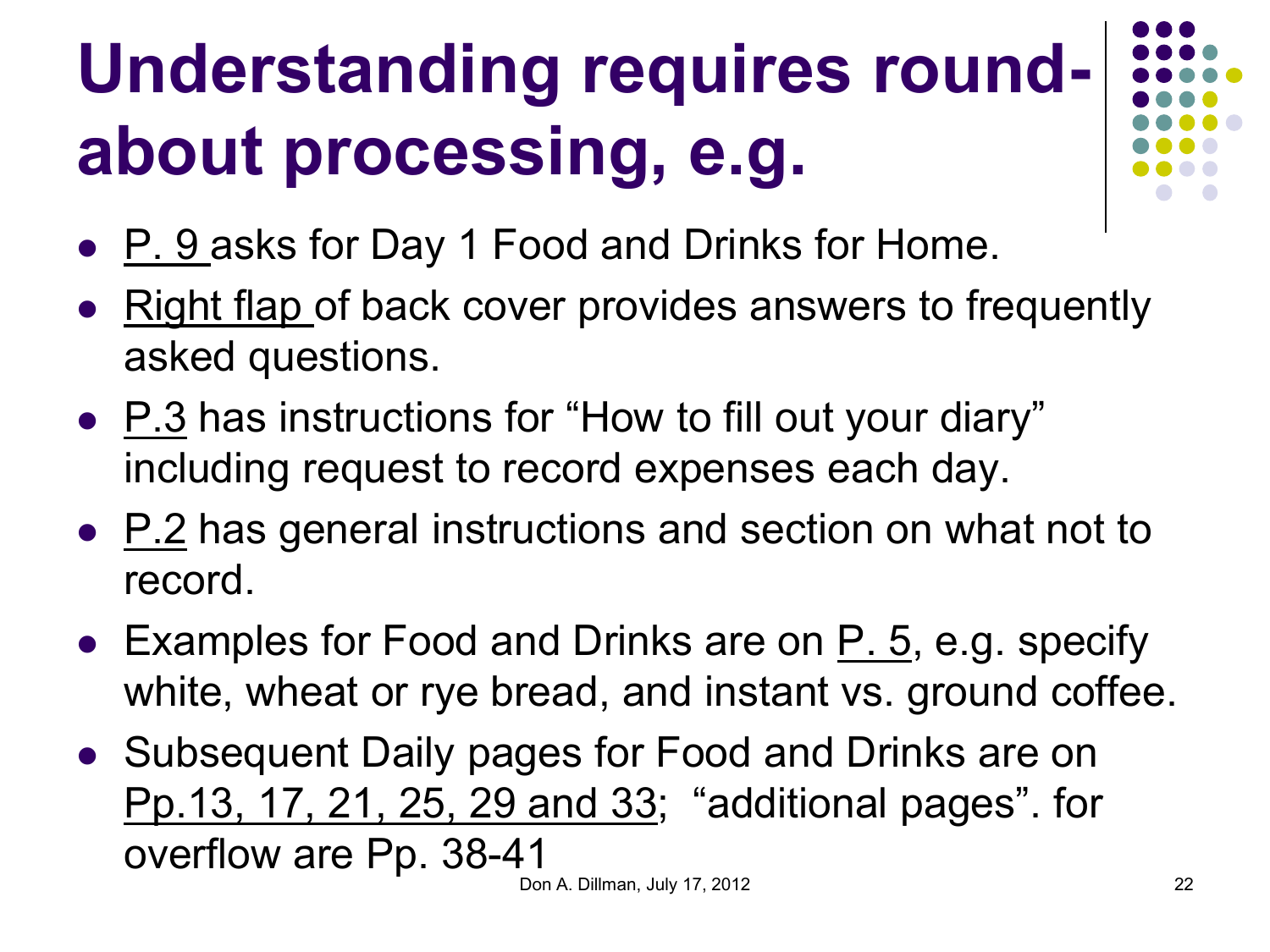# **Understanding requires roundabout processing, e.g.**

- P. 9 asks for Day 1 Food and Drinks for Home.
- Right flap of back cover provides answers to frequently asked questions.
- P.3 has instructions for "How to fill out your diary" including request to record expenses each day.
- P.2 has general instructions and section on what not to record.
- Examples for Food and Drinks are on  $P_1$ . 5, e.g. specify white, wheat or rye bread, and instant vs. ground coffee.
- Subsequent Daily pages for Food and Drinks are on Pp.13, 17, 21, 25, 29 and 33; "additional pages". for overflow are Pp. 38-41 Don A. Dillman, July 17, 2012 22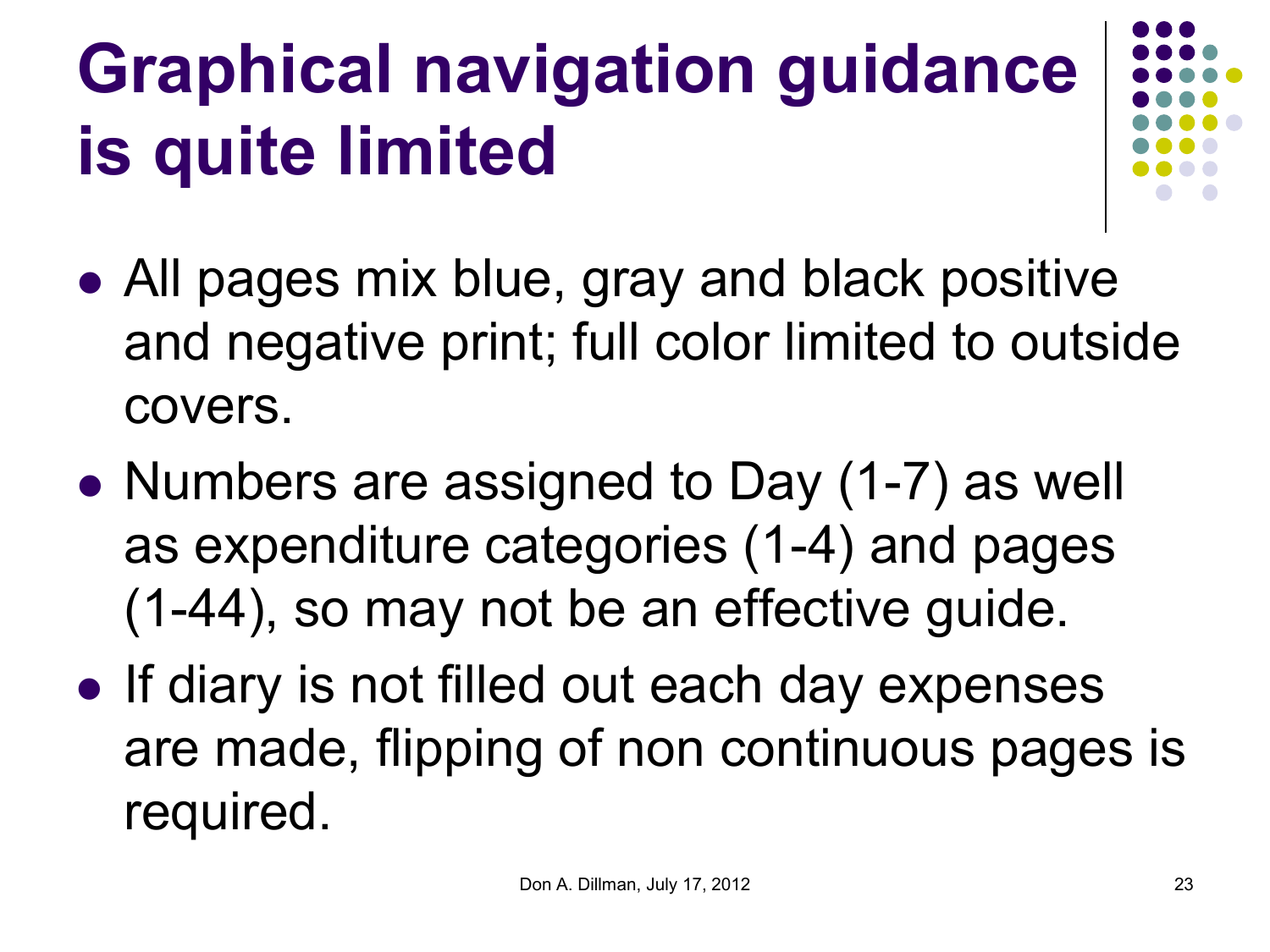## **Graphical navigation guidance is quite limited**

- All pages mix blue, gray and black positive and negative print; full color limited to outside covers.
- Numbers are assigned to Day (1-7) as well as expenditure categories (1-4) and pages (1-44), so may not be an effective guide.
- If diary is not filled out each day expenses are made, flipping of non continuous pages is required.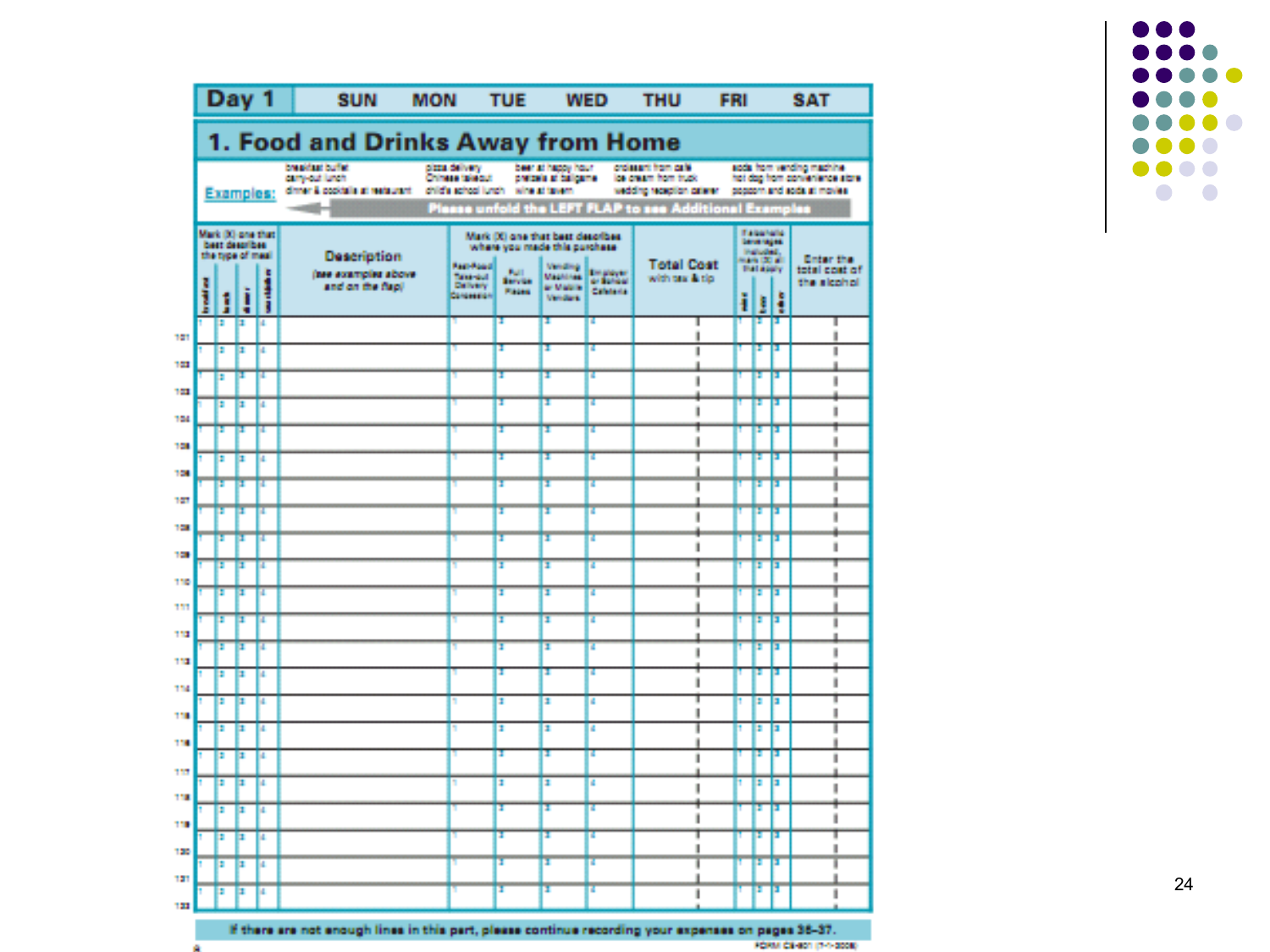

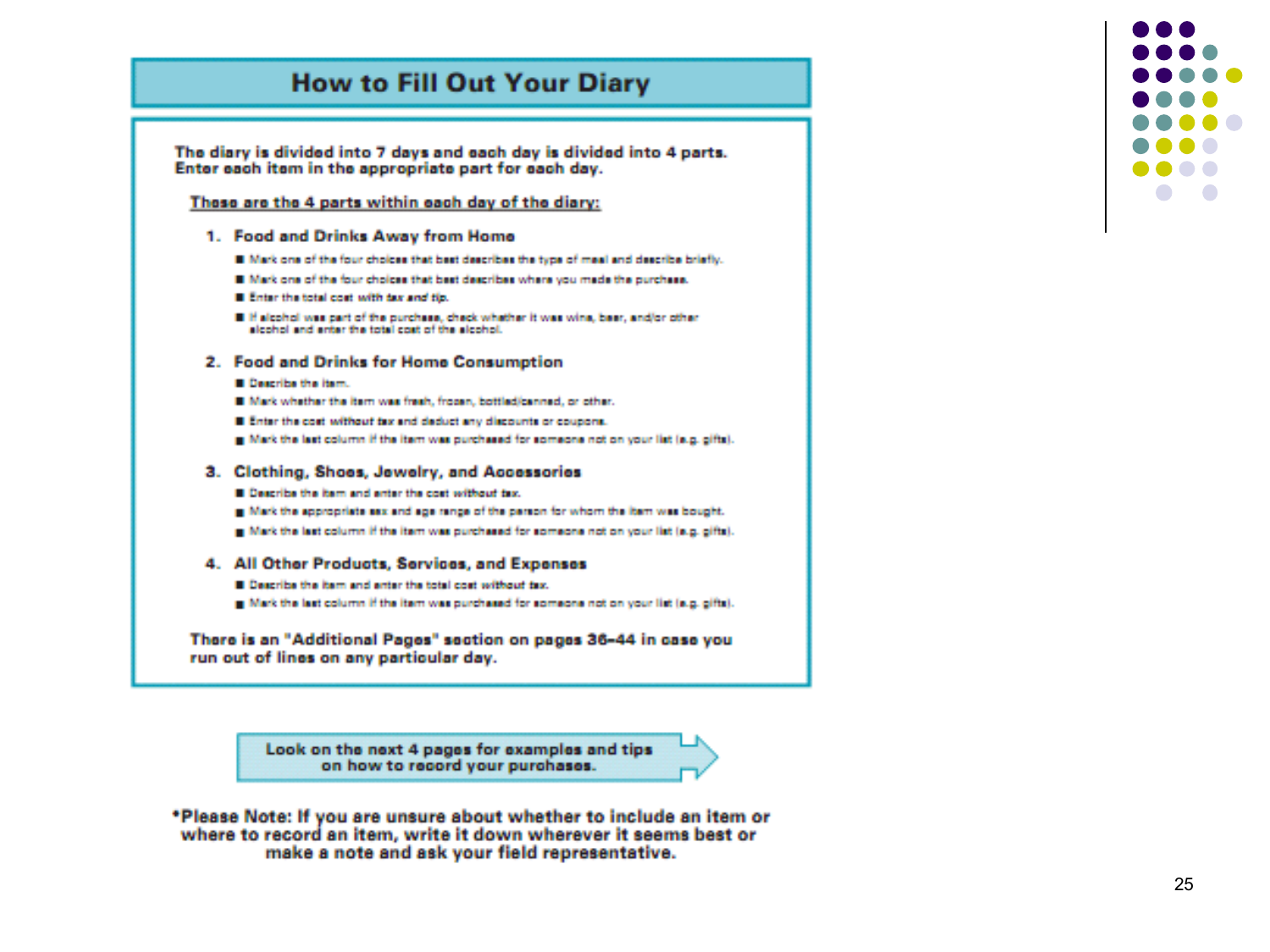#### **How to Fill Out Your Diary**

The diary is divided into 7 days and each day is divided into 4 parts. Enter each item in the appropriate part for each day.

#### These are the 4 parts within each day of the diary:

#### 1. Food and Drinks Away from Home

- III Mark one of the four choices that best describes the type of meal and describe briefly.
- III Mark one of the four choices that best describes where you made the purchase.
- III Enter the total cost with tex and tip.
- III if alcohol was part of the purchase, check whether it was wine, beer, and/or other alcohol and enter the total cost of the alcohol.

#### 2. Food and Drinks for Home Consumption

- **III** Describe the item.
- III Mark whether the item was fresh, frozen, bottled/cenned, or other.
- III Enter the cost without tax and deduct any discounts or coupons.
- Mark the last column if the item was purchased for someone not on your list (e.g. gifts).

#### 3. Clothing, Shoes, Jewelry, and Accessories

- **B** Describe the item and enter the cost without tax.
- In Mark the appropriate eas and age range of the person for whom the item was bought.
- [8] Mark the last column if the item was purchased for someone not on your list (e.g. gifts).

#### 4. All Other Products, Services, and Expenses

- III Describe the item and anter the total cost sufficient text.
- g Mark the last column if the item was purchased for someone not on your list (e.g. gifts).

There is an "Additional Pages" section on pages 36-44 in case you run out of lines on any particular day.

> Look on the next 4 pages for examples and tips on how to record your purchases.

\*Please Note: If you are unsure about whether to include an item or where to record an item, write it down wherever it seems best or make a note and ask your field representative.

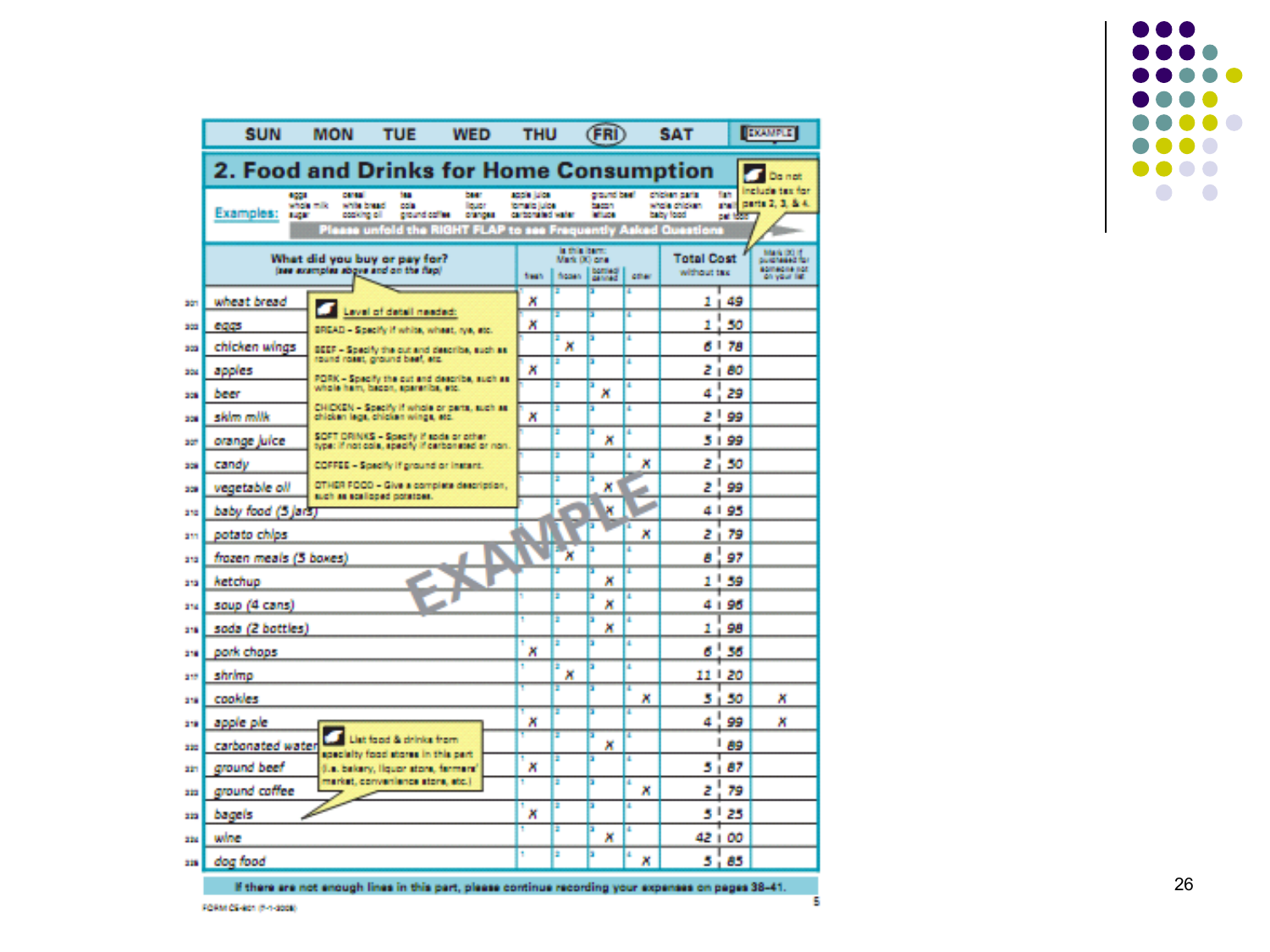|       | <b>SUN</b>                                                           | <b>MON</b>                                                       | <b>TUE</b>                                                                                          | <b>WED</b>                                                           | <b>THU</b>                                      |        | <b>CFRI</b>                             |                                                                                                          | <b>SAT</b>                                   |                             | <b>EXAMPLE</b>                      |
|-------|----------------------------------------------------------------------|------------------------------------------------------------------|-----------------------------------------------------------------------------------------------------|----------------------------------------------------------------------|-------------------------------------------------|--------|-----------------------------------------|----------------------------------------------------------------------------------------------------------|----------------------------------------------|-----------------------------|-------------------------------------|
|       | 2. Food and Drinks for Home Consumption<br>Da not                    |                                                                  |                                                                                                     |                                                                      |                                                 |        |                                         |                                                                                                          |                                              |                             |                                     |
|       | 4001<br>Examples:<br>12,87                                           | <b>CANADI</b><br><b>Whole milk</b><br>while bread<br>popking all | m<br><b>COIN</b><br>ground coffee<br>Please unfold the RIGHT FLAP to see Frequently Asked Questions | bear<br><b>Butt</b><br>pranova                                       | socia luica<br>tomato lulos<br>carbonated water |        | ground basil<br><b>Sacrons</b><br>87.04 |                                                                                                          | chicken parks<br>whole chicken.<br>baby food | fian.<br>ana it<br>pat tour | include tax for<br>parts 2, 3, & 4. |
|       | What did you buy or pay for?<br>(see examples above and on the flap) |                                                                  |                                                                                                     | is this barn.<br>Mark (X) une<br>boming"<br>ficoen<br>fresh.<br>cher |                                                 |        |                                         | <b>Mark (301)</b><br><b>Total Cost</b><br>pullaness of the<br>someone not<br>without tax<br>on your list |                                              |                             |                                     |
| stri  | wheat bread                                                          |                                                                  | Level of detail needed:                                                                             |                                                                      | ×                                               |        | ۶                                       | 7                                                                                                        | 1 -                                          | 49                          |                                     |
| 303   | eggs                                                                 |                                                                  | BREAD - Specify if white, wheat, rye, etc.                                                          |                                                                      | ×                                               |        |                                         |                                                                                                          | 1                                            | 50                          |                                     |
| 303   | chicken wings                                                        |                                                                  | BEEF - Specify the cut and describe, such as<br>round roset, ground beef, etc.                      |                                                                      |                                                 | ×      | Б                                       | п                                                                                                        | 6   78                                       |                             |                                     |
| 304   | apples                                                               |                                                                  | PORK - Specify the out and describe, such as                                                        |                                                                      | ×                                               | ż      | Б                                       | и                                                                                                        | 21                                           | 80                          |                                     |
| 309   | beer                                                                 |                                                                  | whole ham, becon, spareribe, etc.                                                                   |                                                                      |                                                 | п      | ×                                       | п                                                                                                        | ₫                                            | 29                          |                                     |
| 308   | skim milk                                                            |                                                                  | CHICKEN - Specify if whole or parts, such as:<br>chicken lega, chicken wings, etc.                  |                                                                      | ×                                               | z      | ы                                       | п                                                                                                        | ا ج                                          | 99                          |                                     |
| 327   | orange juice                                                         |                                                                  | SOFT DRINKS - Specify if sods or other<br>type: if not cole, specify if cerbonated or non.          |                                                                      |                                                 | z      | э<br>×                                  | п                                                                                                        | 5199                                         |                             |                                     |
| 308   | candy                                                                |                                                                  | COFFEE - Specify if ground or instant.                                                              |                                                                      |                                                 | ÷      | а                                       | и<br>×                                                                                                   | 2 i                                          | 50                          |                                     |
| 309   | vegetable oll                                                        |                                                                  | DTHER FOOD - Give a complete description,<br>such as scalidoed polatoes.                            |                                                                      |                                                 | E      | Б<br>×                                  |                                                                                                          | ا ج                                          | 99                          |                                     |
| 310   | baby food (5 jars)                                                   |                                                                  |                                                                                                     |                                                                      |                                                 |        | ×                                       |                                                                                                          | 4195                                         |                             |                                     |
| 211   | potato chips                                                         |                                                                  |                                                                                                     |                                                                      |                                                 |        |                                         | ×                                                                                                        | z.                                           | 79                          |                                     |
| 313   | frozen meals (3 boxes)                                               |                                                                  |                                                                                                     |                                                                      |                                                 | ×      | ы                                       |                                                                                                          | a !                                          | 97                          |                                     |
| 213   | ketchup                                                              |                                                                  |                                                                                                     |                                                                      |                                                 |        | х                                       |                                                                                                          | $1 - 59$                                     |                             |                                     |
| 214   | soup (4 cans)                                                        |                                                                  |                                                                                                     |                                                                      |                                                 | z      | Б<br>×                                  |                                                                                                          | 4   96                                       |                             |                                     |
| 215   | soda (2 bottles)                                                     |                                                                  |                                                                                                     |                                                                      |                                                 | т      | Б<br>×                                  | и                                                                                                        | 1<br>×                                       | 98                          |                                     |
| 318   | pork chops                                                           |                                                                  |                                                                                                     |                                                                      | ×                                               | E      | Б                                       | ×                                                                                                        | 6١                                           | 56                          |                                     |
| 219   | shrimp                                                               |                                                                  |                                                                                                     |                                                                      |                                                 | г<br>× | Б                                       | п                                                                                                        | 11   20                                      |                             |                                     |
| 318   | cookles                                                              |                                                                  |                                                                                                     |                                                                      |                                                 |        |                                         | ×                                                                                                        | 5.                                           | 50                          | ×                                   |
| 218   | apple ple                                                            |                                                                  |                                                                                                     |                                                                      | ×                                               | т      | F                                       | п                                                                                                        | ₫                                            | 99                          | ×                                   |
| 222   | carbonated water                                                     |                                                                  | List food & drinks from<br>specialty food stores in this part.                                      |                                                                      |                                                 |        | ×                                       |                                                                                                          | ı                                            | 89                          |                                     |
| 221   | ground beef                                                          |                                                                  | J.a. bakary, liquor store, fermant                                                                  |                                                                      | ×                                               | E      |                                         |                                                                                                          | 51                                           | 87                          |                                     |
| 222   | around caffee                                                        |                                                                  | narkat, convenience atore, etc.)                                                                    |                                                                      |                                                 | п      | ы                                       | и<br>×                                                                                                   | ż                                            | 79                          |                                     |
| 223   | bagels                                                               |                                                                  |                                                                                                     |                                                                      | ×                                               | ×      | n                                       | и                                                                                                        | 51                                           | 25                          |                                     |
| 324   | wine                                                                 |                                                                  |                                                                                                     |                                                                      |                                                 | z      | э<br>×                                  | п                                                                                                        | 42   00                                      |                             |                                     |
| 226 L | dog food                                                             |                                                                  |                                                                                                     |                                                                      | ۹                                               | ż      | a                                       | a.<br>×                                                                                                  | ٠                                            | 85                          |                                     |
|       |                                                                      |                                                                  |                                                                                                     |                                                                      |                                                 |        |                                         |                                                                                                          |                                              |                             |                                     |



If there are not enough lines in this part, please continue recording your expenses on pages 38-41.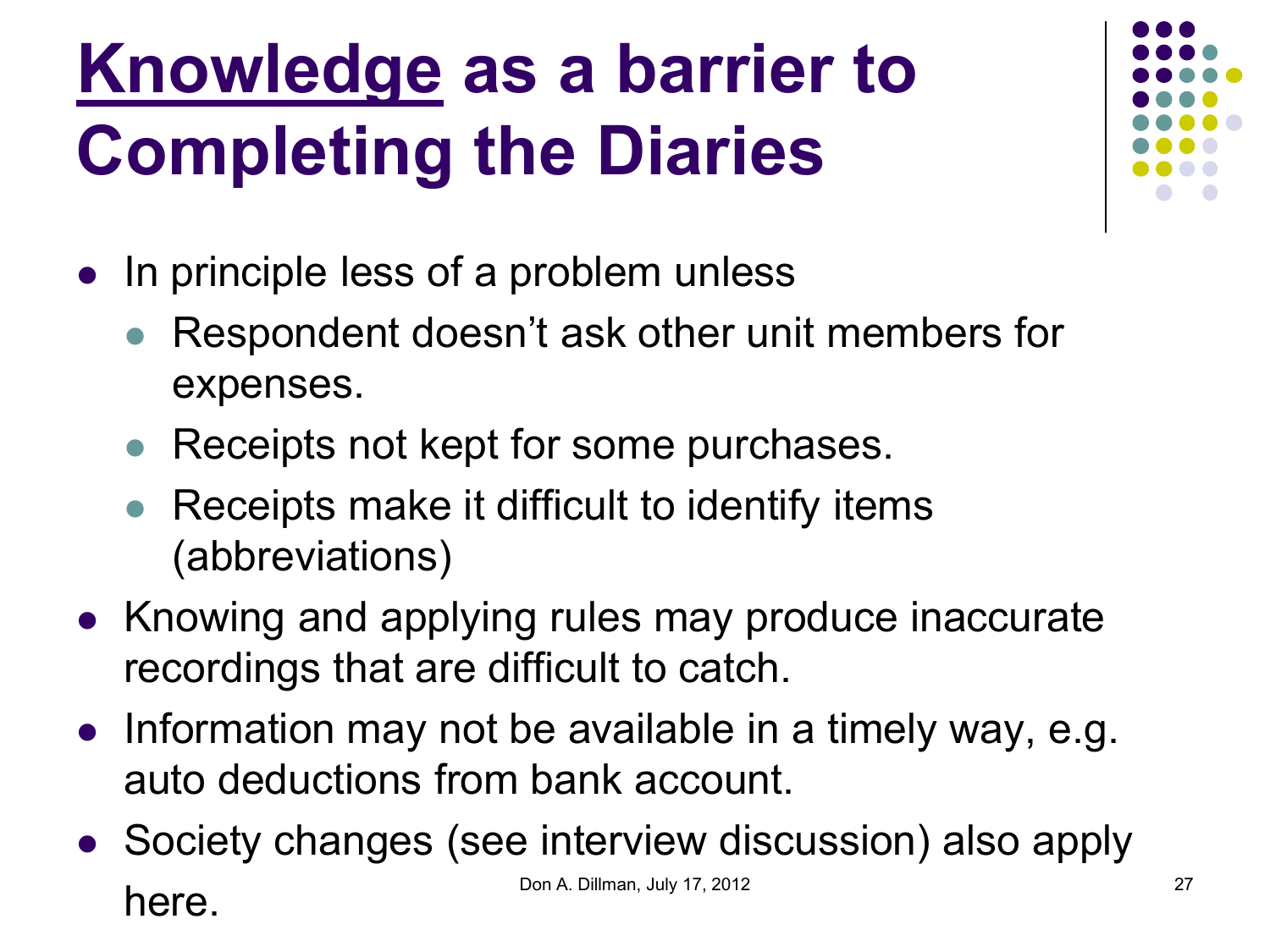### **Knowledge as a barrier to Completing the Diaries**

- In principle less of a problem unless
	- Respondent doesn't ask other unit members for expenses.
	- Receipts not kept for some purchases.
	- Receipts make it difficult to identify items (abbreviations)
- Knowing and applying rules may produce inaccurate recordings that are difficult to catch.
- Information may not be available in a timely way, e.g. auto deductions from bank account.
- Society changes (see interview discussion) also apply here. Don A. Dillman, July 17, 2012 27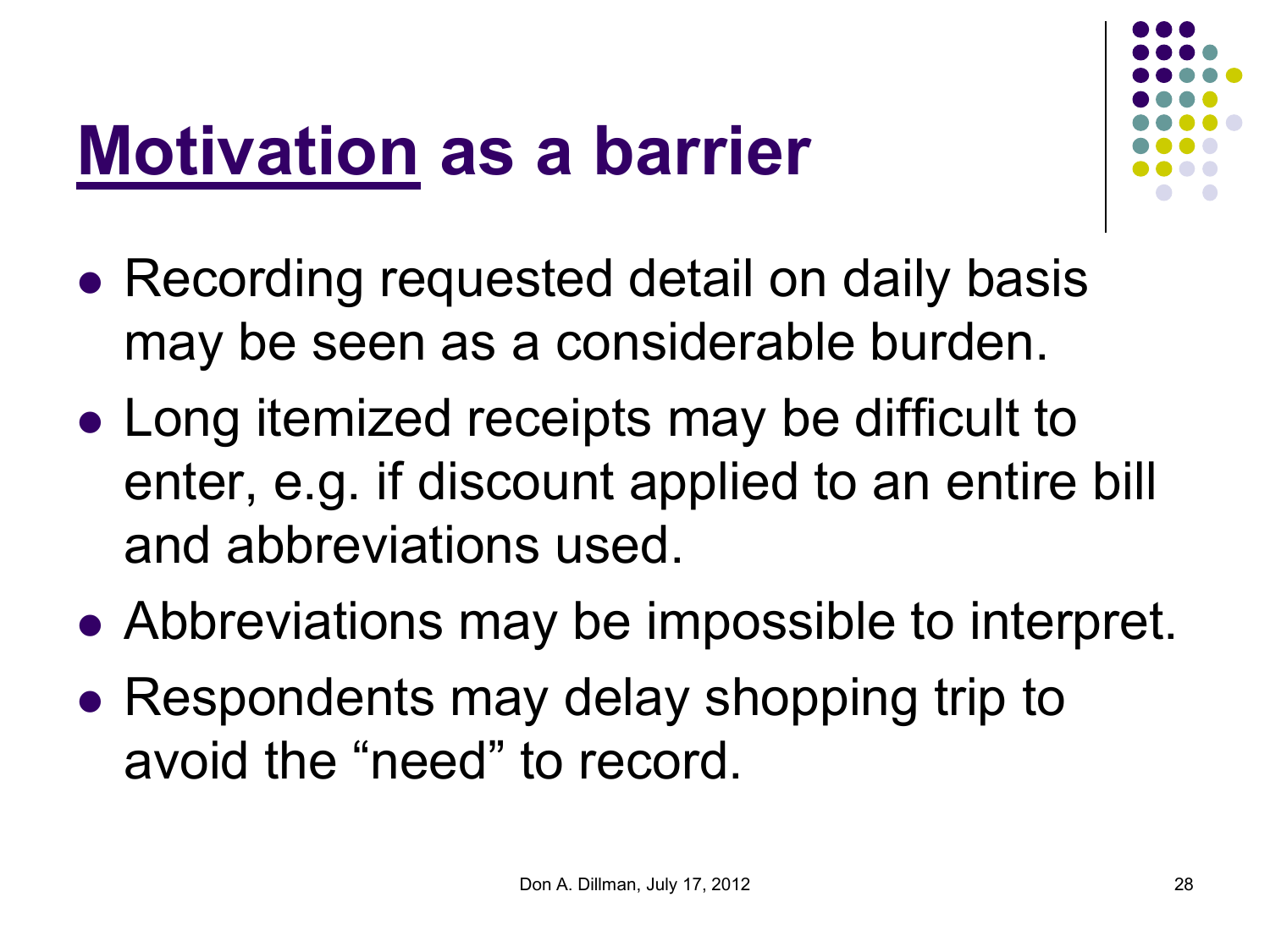#### **Motivation as a barrier**



- Recording requested detail on daily basis may be seen as a considerable burden.
- Long itemized receipts may be difficult to enter, e.g. if discount applied to an entire bill and abbreviations used.
- Abbreviations may be impossible to interpret.
- Respondents may delay shopping trip to avoid the "need" to record.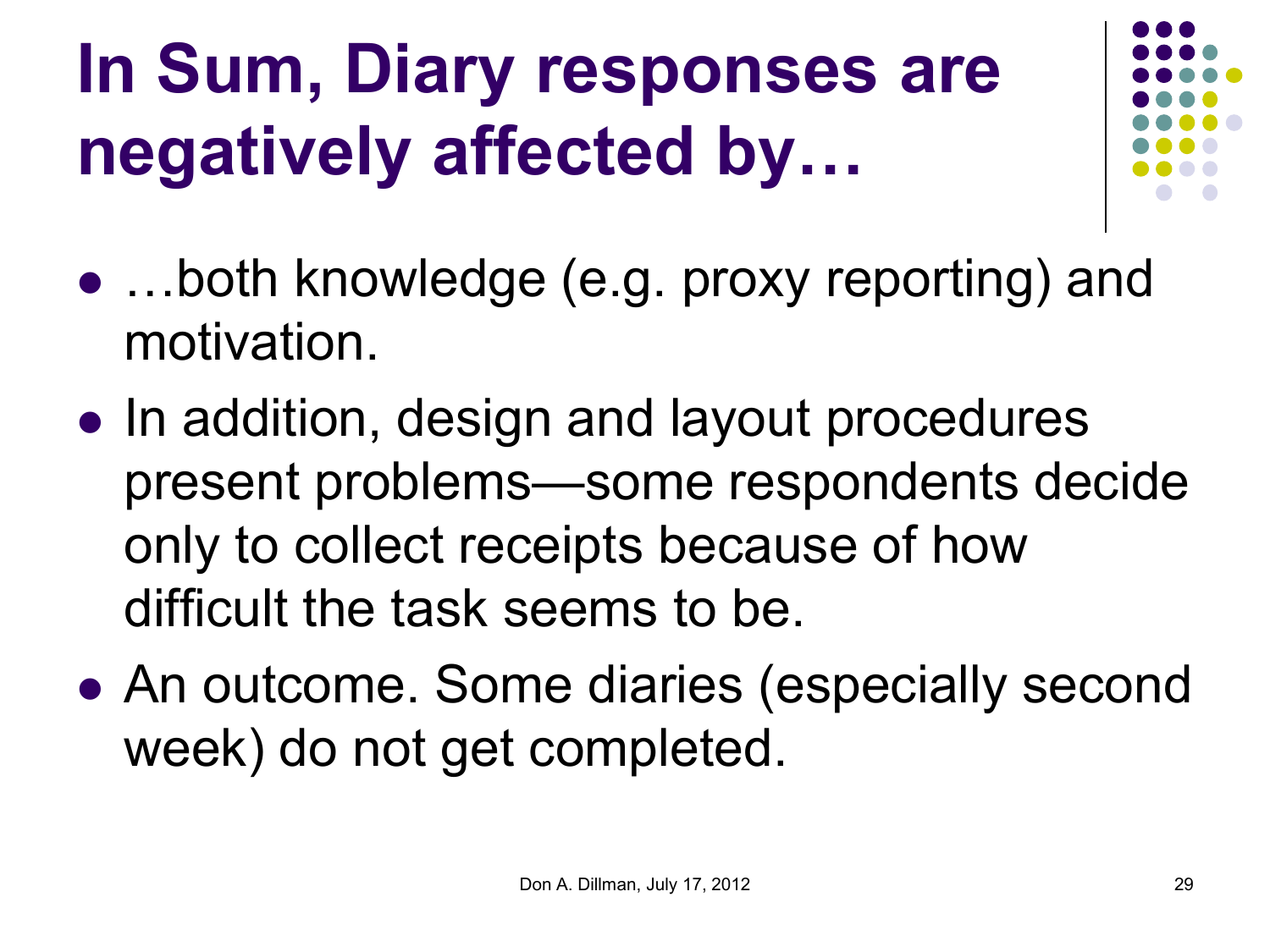## **In Sum, Diary responses are negatively affected by…**



- ...both knowledge (e.g. proxy reporting) and motivation.
- In addition, design and layout procedures present problems—some respondents decide only to collect receipts because of how difficult the task seems to be.
- An outcome. Some diaries (especially second week) do not get completed.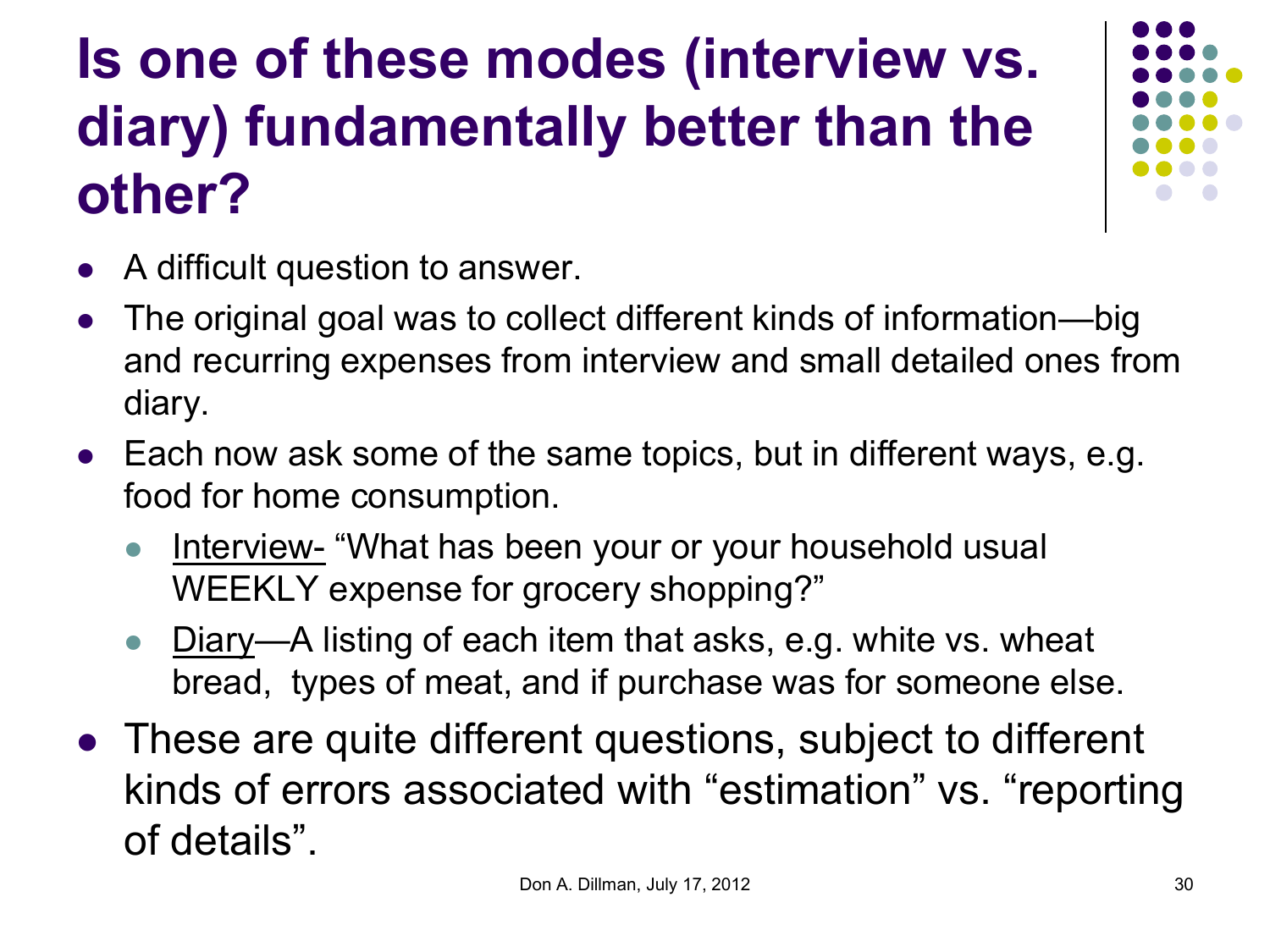#### **Is one of these modes (interview vs. diary) fundamentally better than the other?**



- A difficult question to answer.
- The original goal was to collect different kinds of information—big and recurring expenses from interview and small detailed ones from diary.
- Each now ask some of the same topics, but in different ways, e.g. food for home consumption.
	- Interview- "What has been your or your household usual WEEKLY expense for grocery shopping?"
	- Diary—A listing of each item that asks, e.g. white vs. wheat bread, types of meat, and if purchase was for someone else.
- These are quite different questions, subject to different kinds of errors associated with "estimation" vs. "reporting of details".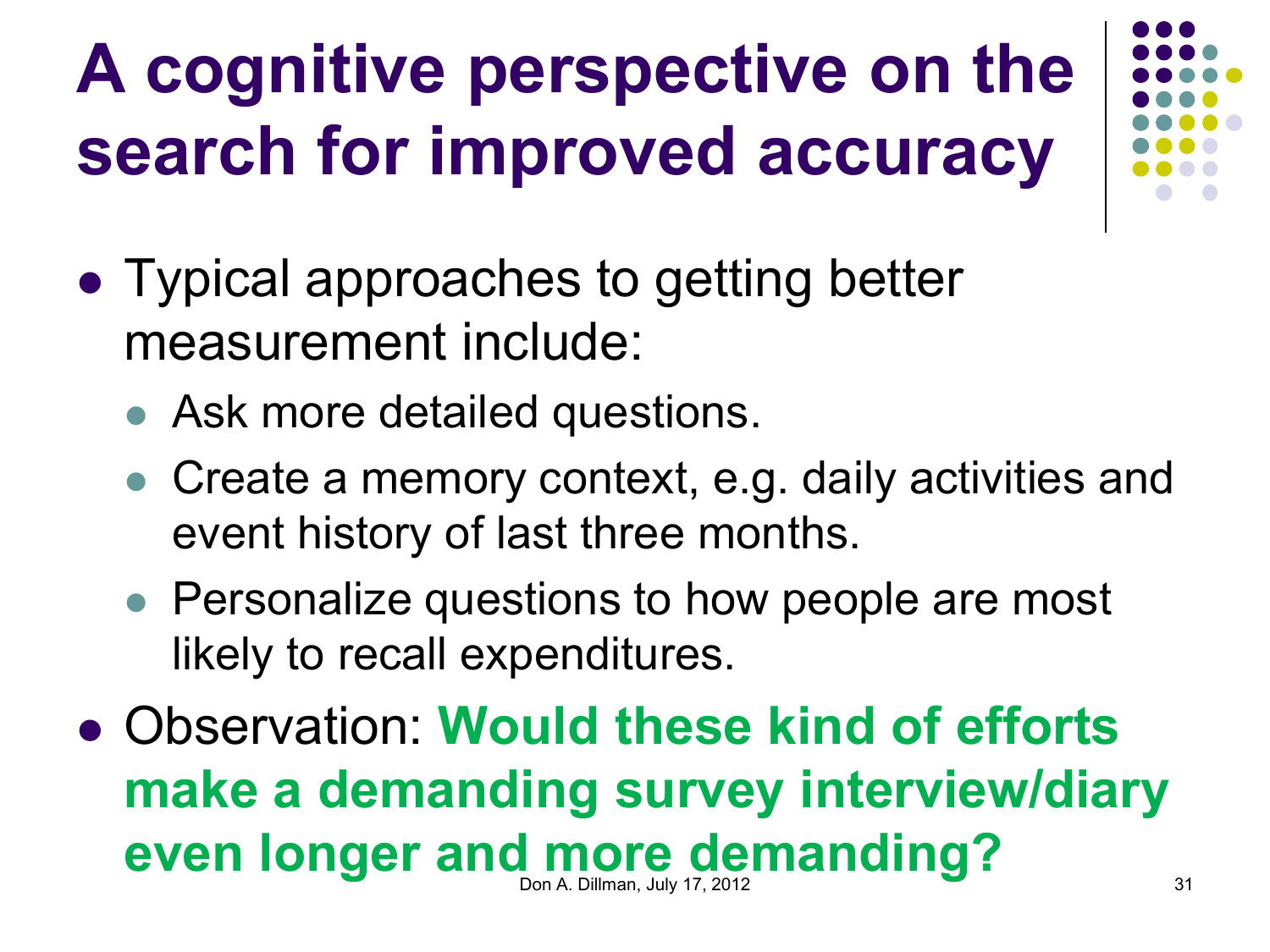## **A cognitive perspective on the search for improved accuracy**

- Typical approaches to getting better measurement include:
	- Ask more detailed questions.
	- Create a memory context, e.g. daily activities and event history of last three months.
	- Personalize questions to how people are most likely to recall expenditures.
- Observation: **Would these kind of efforts make a demanding survey interview/diary even longer and more demanding? Don A. Dillman, July 17, 2012** 31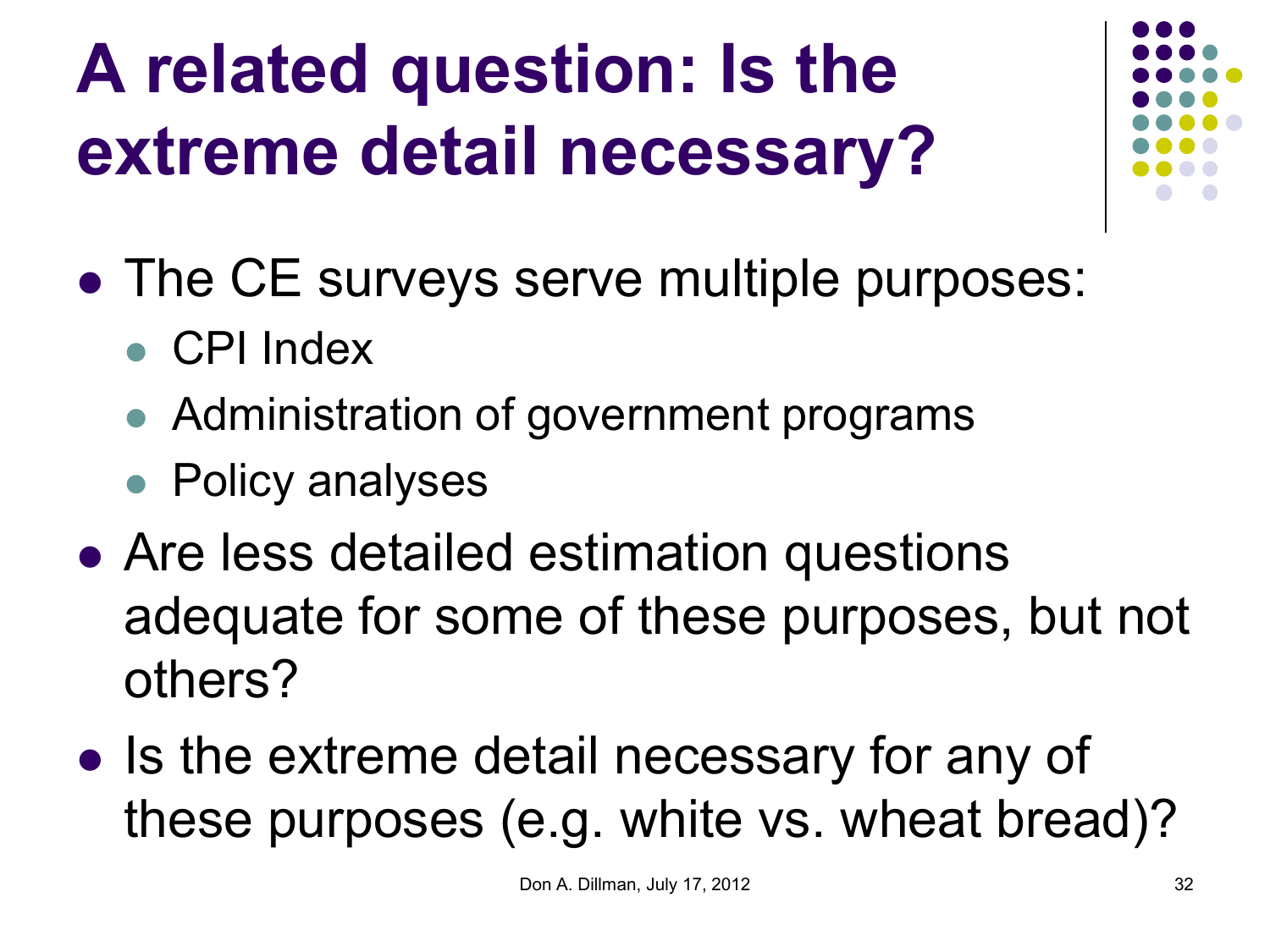## **A related question: Is the extreme detail necessary?**

- 
- The CE surveys serve multiple purposes:
	- CPI Index
	- Administration of government programs
	- Policy analyses
- Are less detailed estimation questions adequate for some of these purposes, but not others?
- Is the extreme detail necessary for any of these purposes (e.g. white vs. wheat bread)?